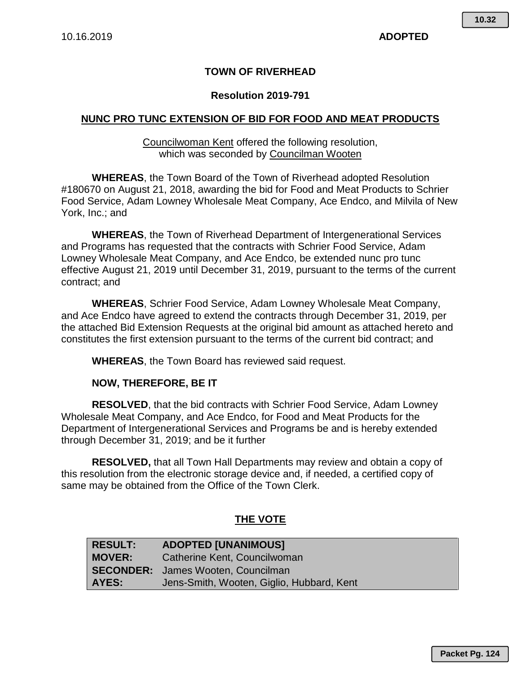## **TOWN OF RIVERHEAD**

## **Resolution 2019-791**

## **NUNC PRO TUNC EXTENSION OF BID FOR FOOD AND MEAT PRODUCTS**

Councilwoman Kent offered the following resolution, which was seconded by Councilman Wooten

**WHEREAS**, the Town Board of the Town of Riverhead adopted Resolution #180670 on August 21, 2018, awarding the bid for Food and Meat Products to Schrier Food Service, Adam Lowney Wholesale Meat Company, Ace Endco, and Milvila of New York, Inc.; and

**WHEREAS**, the Town of Riverhead Department of Intergenerational Services and Programs has requested that the contracts with Schrier Food Service, Adam Lowney Wholesale Meat Company, and Ace Endco, be extended nunc pro tunc effective August 21, 2019 until December 31, 2019, pursuant to the terms of the current contract; and

**WHEREAS**, Schrier Food Service, Adam Lowney Wholesale Meat Company, and Ace Endco have agreed to extend the contracts through December 31, 2019, per the attached Bid Extension Requests at the original bid amount as attached hereto and constitutes the first extension pursuant to the terms of the current bid contract; and

**WHEREAS**, the Town Board has reviewed said request.

## **NOW, THEREFORE, BE IT**

**RESOLVED**, that the bid contracts with Schrier Food Service, Adam Lowney Wholesale Meat Company, and Ace Endco, for Food and Meat Products for the Department of Intergenerational Services and Programs be and is hereby extended through December 31, 2019; and be it further

**RESOLVED,** that all Town Hall Departments may review and obtain a copy of this resolution from the electronic storage device and, if needed, a certified copy of same may be obtained from the Office of the Town Clerk.

## **THE VOTE**

| <b>RESULT:</b> | <b>ADOPTED [UNANIMOUS]</b>                |
|----------------|-------------------------------------------|
| <b>MOVER:</b>  | Catherine Kent, Councilwoman              |
|                | <b>SECONDER:</b> James Wooten, Councilman |
| AYES:          | Jens-Smith, Wooten, Giglio, Hubbard, Kent |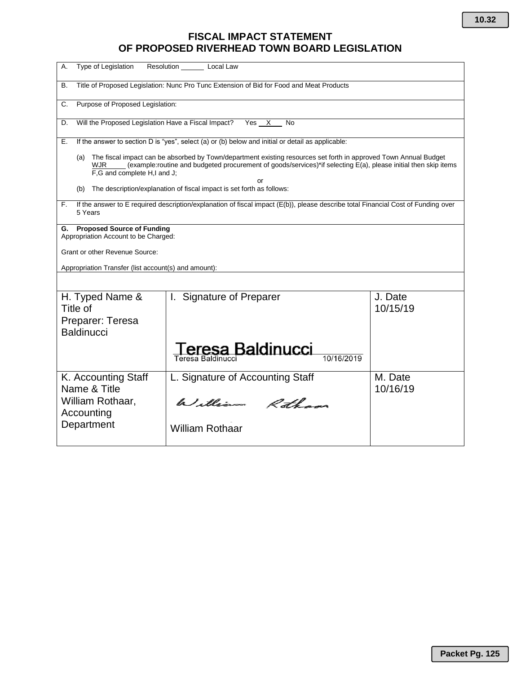# **FISCAL IMPACT STATEMENT OF PROPOSED RIVERHEAD TOWN BOARD LEGISLATION**

| Type of Legislation<br>А.                                                       | Resolution Local Law                                                                                                                                                                                                                |                     |
|---------------------------------------------------------------------------------|-------------------------------------------------------------------------------------------------------------------------------------------------------------------------------------------------------------------------------------|---------------------|
| В.                                                                              | Title of Proposed Legislation: Nunc Pro Tunc Extension of Bid for Food and Meat Products                                                                                                                                            |                     |
| Purpose of Proposed Legislation:<br>C.                                          |                                                                                                                                                                                                                                     |                     |
| Will the Proposed Legislation Have a Fiscal Impact?<br>D.                       | Yes X<br><b>No</b>                                                                                                                                                                                                                  |                     |
| Е.                                                                              | If the answer to section D is "yes", select (a) or (b) below and initial or detail as applicable:                                                                                                                                   |                     |
| (a)<br>WJR<br>F,G and complete H,I and J;                                       | The fiscal impact can be absorbed by Town/department existing resources set forth in approved Town Annual Budget<br>(example: routine and budgeted procurement of goods/services)*if selecting E(a), please initial then skip items |                     |
| (b)                                                                             | or<br>The description/explanation of fiscal impact is set forth as follows:                                                                                                                                                         |                     |
| F.<br>5 Years                                                                   | If the answer to E required description/explanation of fiscal impact (E(b)), please describe total Financial Cost of Funding over                                                                                                   |                     |
| <b>Proposed Source of Funding</b><br>G.<br>Appropriation Account to be Charged: |                                                                                                                                                                                                                                     |                     |
| Grant or other Revenue Source:                                                  |                                                                                                                                                                                                                                     |                     |
| Appropriation Transfer (list account(s) and amount):                            |                                                                                                                                                                                                                                     |                     |
|                                                                                 |                                                                                                                                                                                                                                     |                     |
| H. Typed Name &<br>Title of                                                     | <b>Signature of Preparer</b><br>$\mathbf{L}$                                                                                                                                                                                        | J. Date<br>10/15/19 |
| Preparer: Teresa<br><b>Baldinucci</b>                                           |                                                                                                                                                                                                                                     |                     |
|                                                                                 | eresa Baldinucci<br>Teresa Baldinucci                                                                                                                                                                                               |                     |
| K. Accounting Staff<br>Name & Title                                             | L. Signature of Accounting Staff                                                                                                                                                                                                    | M. Date<br>10/16/19 |
| William Rothaar,<br>Accounting                                                  | William Rothans                                                                                                                                                                                                                     |                     |
| Department                                                                      | <b>William Rothaar</b>                                                                                                                                                                                                              |                     |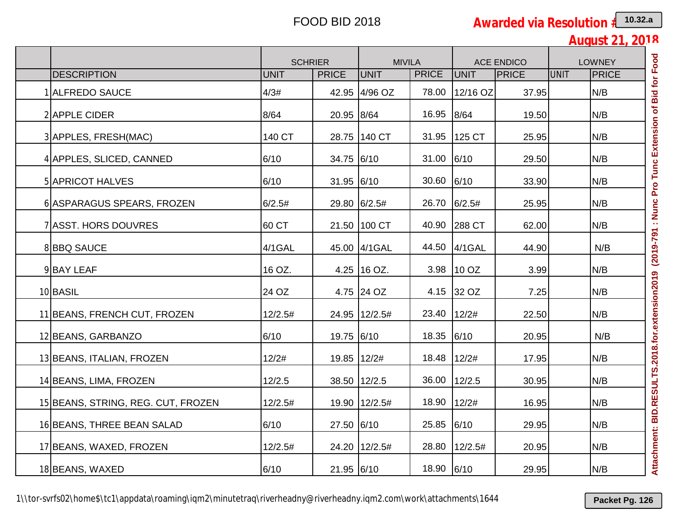**August 21, 2018**

|                                    |             | <b>SCHRIER</b> | <b>MIVILA</b>   |              |             | <b>ACE ENDICO</b> | <b>LOWNEY</b> |              |
|------------------------------------|-------------|----------------|-----------------|--------------|-------------|-------------------|---------------|--------------|
| <b>DESCRIPTION</b>                 | <b>UNIT</b> | <b>PRICE</b>   | <b>UNIT</b>     | <b>PRICE</b> | <b>UNIT</b> | PRICE             | UNIT          | <b>PRICE</b> |
| <b>ALFREDO SAUCE</b>               | 4/3#        |                | 42.95 4/96 OZ   | 78.00        | 12/16 OZ    | 37.95             |               | N/B          |
| 2 APPLE CIDER                      | 8/64        | 20.95 8/64     |                 | 16.95        | 8/64        | 19.50             |               | N/B          |
| 3 APPLES, FRESH(MAC)               | 140 CT      |                | 28.75 140 CT    | 31.95        | 125 CT      | 25.95             |               | N/B          |
| 4 APPLES, SLICED, CANNED           | 6/10        | 34.75 6/10     |                 | 31.00        | 6/10        | 29.50             |               | N/B          |
| <b>5 APRICOT HALVES</b>            | 6/10        | 31.95 6/10     |                 | 30.60        | 6/10        | 33.90             |               | N/B          |
| 6 ASPARAGUS SPEARS, FROZEN         | 6/2.5#      |                | 29.80 6/2.5#    | 26.70        | 6/2.5#      | 25.95             |               | N/B          |
| 7 ASST. HORS DOUVRES               | 60 CT       |                | 21.50 100 CT    | 40.90        | 288 CT      | 62.00             |               | N/B          |
| 8BBQ SAUCE                         | 4/1GAL      |                | 45.00 4/1GAL    | 44.50        | $4/1$ GAL   | 44.90             |               | N/B          |
| 9BAY LEAF                          | 16 OZ.      |                | 4.25 16 OZ.     | 3.98         | 10 OZ       | 3.99              |               | N/B          |
| 10 BASIL                           | 24 OZ       |                | 4.75 24 OZ      | 4.15         | 32 OZ       | 7.25              |               | N/B          |
| 11 BEANS, FRENCH CUT, FROZEN       | 12/2.5#     |                | 24.95 12/2.5#   | 23.40        | 12/2#       | 22.50             |               | N/B          |
| 12 BEANS, GARBANZO                 | 6/10        | 19.75 6/10     |                 | 18.35        | 6/10        | 20.95             |               | N/B          |
| 13 BEANS, ITALIAN, FROZEN          | 12/2#       | 19.85 12/2#    |                 | 18.48        | 12/2#       | 17.95             |               | N/B          |
| 14 BEANS, LIMA, FROZEN             | 12/2.5      |                | 38.50 12/2.5    | 36.00        | 12/2.5      | 30.95             |               | N/B          |
| 15 BEANS, STRING, REG. CUT, FROZEN | 12/2.5#     |                | 19.90   12/2.5# | 18.90        | 12/2#       | 16.95             |               | N/B          |
| 16 BEANS, THREE BEAN SALAD         | 6/10        | 27.50 6/10     |                 | 25.85 6/10   |             | 29.95             |               | N/B          |
| 17 BEANS, WAXED, FROZEN            | 12/2.5#     |                | 24.20 12/2.5#   | 28.80        | 12/2.5#     | 20.95             |               | N/B          |
| 18 BEANS, WAXED                    | 6/10        | 21.95 6/10     |                 | 18.90 6/10   |             | 29.95             |               | N/B          |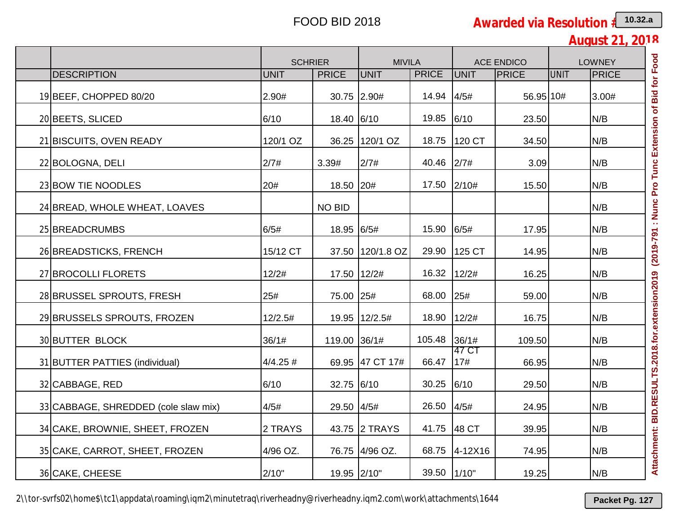**August 21, 2018**

|                                      | <b>SCHRIER</b> |               | <b>MIVILA</b>    |              |              | <b>ACE ENDICO</b> |             | <b>LOWNEY</b> |
|--------------------------------------|----------------|---------------|------------------|--------------|--------------|-------------------|-------------|---------------|
| <b>DESCRIPTION</b>                   | <b>UNIT</b>    | <b>PRICE</b>  | <b>UNIT</b>      | <b>PRICE</b> | <b>UNIT</b>  | <b>PRICE</b>      | <b>UNIT</b> | <b>PRICE</b>  |
| 19 BEEF, CHOPPED 80/20               | 2.90#          |               | 30.75 2.90#      | 14.94        | 4/5#         | 56.95 10#         |             | 3.00#         |
| 20 BEETS, SLICED                     | 6/10           | 18.40 6/10    |                  | 19.85        | 6/10         | 23.50             |             | N/B           |
| 21 BISCUITS, OVEN READY              | 120/1 OZ       |               | 36.25 120/1 OZ   | 18.75        | 120 CT       | 34.50             |             | N/B           |
| 22 BOLOGNA, DELI                     | 2/7#           | 3.39#         | 2/7#             | 40.46        | 2/7#         | 3.09              |             | N/B           |
| 23 BOW TIE NOODLES                   | 20#            | 18.50 20#     |                  | 17.50        | 2/10#        | 15.50             |             | N/B           |
| 24 BREAD, WHOLE WHEAT, LOAVES        |                | <b>NO BID</b> |                  |              |              |                   |             | N/B           |
| 25 BREADCRUMBS                       | 6/5#           | 18.95 6/5#    |                  | 15.90        | 6/5#         | 17.95             |             | N/B           |
| 26 BREADSTICKS, FRENCH               | 15/12 CT       |               | 37.50 120/1.8 OZ | 29.90        | 125 CT       | 14.95             |             | N/B           |
| 27 BROCOLLI FLORETS                  | 12/2#          |               | 17.50 12/2#      | 16.32        | 12/2#        | 16.25             |             | N/B           |
| 28 BRUSSEL SPROUTS, FRESH            | 25#            | 75.00 25#     |                  | 68.00        | 25#          | 59.00             |             | N/B           |
| 29 BRUSSELS SPROUTS, FROZEN          | 12/2.5#        |               | 19.95 12/2.5#    | 18.90        | 12/2#        | 16.75             |             | N/B           |
| 30 BUTTER BLOCK                      | 36/1#          | 119.00 36/1#  |                  | 105.48       | 36/1#        | 109.50            |             | N/B           |
| 31 BUTTER PATTIES (individual)       | $4/4.25$ #     |               | 69.95 47 CT 17#  | 66.47        | 47 CT<br>17# | 66.95             |             | N/B           |
| 32 CABBAGE, RED                      | 6/10           | 32.75 6/10    |                  | 30.25        | 6/10         | 29.50             |             | N/B           |
| 33 CABBAGE, SHREDDED (cole slaw mix) | 4/5#           | 29.50 4/5#    |                  | 26.50        | 4/5#         | 24.95             |             | N/B           |
| 34 CAKE, BROWNIE, SHEET, FROZEN      | 2 TRAYS        |               | 43.75 2 TRAYS    | 41.75        | 48 CT        | 39.95             |             | N/B           |
| 35 CAKE, CARROT, SHEET, FROZEN       | 4/96 OZ.       |               | 76.75 4/96 OZ.   | 68.75        | 4-12X16      | 74.95             |             | N/B           |
| 36 CAKE, CHEESE                      | 2/10"          | 19.95 2/10"   |                  | 39.50 1/10"  |              | 19.25             |             | N/B           |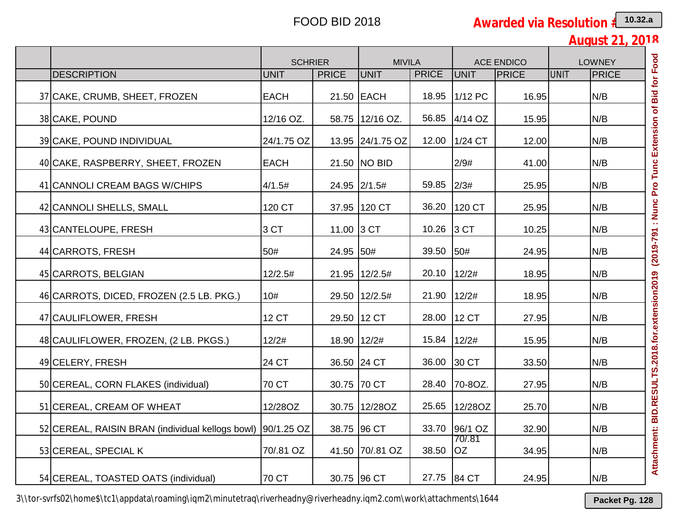**August 21, 2018**

|                                                              | <b>SCHRIER</b> |              | <b>MIVILA</b>    |              |                     | <b>ACE ENDICO</b> |             | <b>LOWNEY</b> |
|--------------------------------------------------------------|----------------|--------------|------------------|--------------|---------------------|-------------------|-------------|---------------|
| <b>DESCRIPTION</b>                                           | <b>UNIT</b>    | <b>PRICE</b> | <b>UNIT</b>      | <b>PRICE</b> | <b>UNIT</b>         | PRICE             | <b>UNIT</b> | <b>PRICE</b>  |
| 37 CAKE, CRUMB, SHEET, FROZEN                                | <b>EACH</b>    |              | 21.50 EACH       | 18.95        | 1/12 PC             | 16.95             |             | N/B           |
| 38 CAKE, POUND                                               | 12/16 OZ.      |              | 58.75 12/16 OZ.  | 56.85        | 4/14 OZ             | 15.95             |             | N/B           |
| 39 CAKE, POUND INDIVIDUAL                                    | 24/1.75 OZ     |              | 13.95 24/1.75 OZ | 12.00        | 1/24 CT             | 12.00             |             | N/B           |
| 40 CAKE, RASPBERRY, SHEET, FROZEN                            | <b>EACH</b>    |              | 21.50 NO BID     |              | 2/9#                | 41.00             |             | N/B           |
| 41 CANNOLI CREAM BAGS W/CHIPS                                | 4/1.5#         |              | 24.95 2/1.5#     | 59.85        | 2/3#                | 25.95             |             | N/B           |
| 42 CANNOLI SHELLS, SMALL                                     | 120 CT         |              | 37.95 120 CT     | 36.20        | 120 CT              | 25.95             |             | N/B           |
| 43 CANTELOUPE, FRESH                                         | 3 CT           | 11.00 3 CT   |                  | 10.26        | 3 <sub>C</sub>      | 10.25             |             | N/B           |
| 44 CARROTS, FRESH                                            | 50#            | 24.95 50#    |                  | 39.50        | 50#                 | 24.95             |             | N/B           |
| 45 CARROTS, BELGIAN                                          | 12/2.5#        |              | 21.95 12/2.5#    | 20.10        | 12/2#               | 18.95             |             | N/B           |
| 46 CARROTS, DICED, FROZEN (2.5 LB. PKG.)                     | 10#            |              | 29.50 12/2.5#    | 21.90        | 12/2#               | 18.95             |             | N/B           |
| 47 CAULIFLOWER, FRESH                                        | <b>12 CT</b>   |              | 29.50 12 CT      | 28.00        | <b>12 CT</b>        | 27.95             |             | N/B           |
| 48 CAULIFLOWER, FROZEN, (2 LB. PKGS.)                        | 12/2#          | 18.90 12/2#  |                  | 15.84        | 12/2#               | 15.95             |             | N/B           |
| 49 CELERY, FRESH                                             | 24 CT          |              | 36.50 24 CT      | 36.00        | 30 CT               | 33.50             |             | N/B           |
| 50 CEREAL, CORN FLAKES (individual)                          | 70 CT          |              | 30.75 70 CT      | 28.40        | 70-80Z.             | 27.95             |             | N/B           |
| 51 CEREAL, CREAM OF WHEAT                                    | 12/28OZ        |              | 30.75 12/28OZ    | 25.65        | 12/28OZ             | 25.70             |             | N/B           |
| 52 CEREAL, RAISIN BRAN (individual kellogs bowl)  90/1.25 OZ |                |              | 38.75 96 CT      |              | 33.70 96/1 OZ       | 32.90             |             | N/B           |
| 53 CEREAL, SPECIAL K                                         | 70/.81 OZ      |              | 41.50 70/81 OZ   | 38.50        | 70/.81<br><b>OZ</b> | 34.95             |             | N/B           |
| 54 CEREAL, TOASTED OATS (individual)                         | 70 CT          |              | 30.75 96 CT      | 27.75        | 84 CT               | 24.95             |             | N/B           |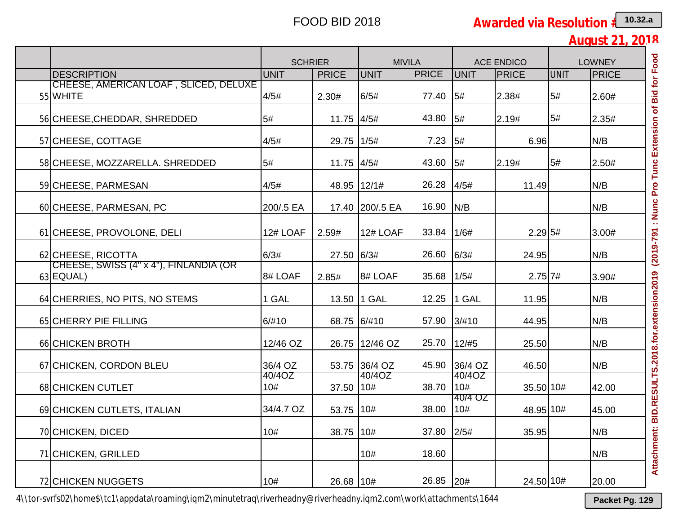**August 21, 2018**

|                                                     | <b>SCHRIER</b> |              | <b>MIVILA</b>   |              |                | <b>ACE ENDICO</b> |             | <b>LOWNEY</b> |
|-----------------------------------------------------|----------------|--------------|-----------------|--------------|----------------|-------------------|-------------|---------------|
| <b>IDESCRIPTION</b>                                 | <b>UNIT</b>    | <b>PRICE</b> | <b>UNIT</b>     | <b>PRICE</b> | <b>UNIT</b>    | PRICE             | <b>UNIT</b> | <b>PRICE</b>  |
| CHEESE, AMERICAN LOAF , SLICED, DELUXE<br>55 WHITE  | 4/5#           | 2.30#        | 6/5#            | 77.40        | 5#             | 2.38#             | 5#          | 2.60#         |
| 56 CHEESE, CHEDDAR, SHREDDED                        | 5#             | 11.75 4/5#   |                 | 43.80        | 5#             | 2.19#             | 5#          | 2.35#         |
| 57 CHEESE, COTTAGE                                  | 4/5#           | 29.75 1/5#   |                 | 7.23         | 5#             | 6.96              |             | N/B           |
| 58 CHEESE, MOZZARELLA. SHREDDED                     | 5#             | 11.75 4/5#   |                 | 43.60        | 5#             | 2.19#             | 5#          | 2.50#         |
| 59 CHEESE, PARMESAN                                 | 4/5#           | 48.95 12/1#  |                 | 26.28        | 4/5#           | 11.49             |             | N/B           |
| 60 CHEESE, PARMESAN, PC                             | 200/.5 EA      |              | 17.40 200/.5 EA | 16.90        | N/B            |                   |             | N/B           |
| 61 CHEESE, PROVOLONE, DELI                          | 12# LOAF       | 2.59#        | 12# LOAF        | 33.84        | 1/6#           | $2.29$ 5#         |             | 3.00#         |
| 62 CHEESE, RICOTTA                                  | 6/3#           | 27.50 6/3#   |                 | 26.60        | 6/3#           | 24.95             |             | N/B           |
| CHEESE, SWISS (4" x 4"), FINLANDIA (OR<br>63 EQUAL) | 8# LOAF        | 2.85#        | 8# LOAF         | 35.68        | 1/5#           | $2.75$ 7#         |             | 3.90#         |
| 64 CHERRIES, NO PITS, NO STEMS                      | 1 GAL          |              | 13.50 1 GAL     | 12.25        | 1 GAL          | 11.95             |             | N/B           |
| 65 CHERRY PIE FILLING                               | 6/#10          | 68.75 6/#10  |                 | 57.90        | 3/#10          | 44.95             |             | N/B           |
| 66 CHICKEN BROTH                                    | 12/46 OZ       |              | 26.75 12/46 OZ  | 25.70        | 12/#5          | 25.50             |             | N/B           |
| 67 CHICKEN, CORDON BLEU                             | 36/4 OZ        |              | 53.75 36/4 OZ   | 45.90        | 36/4 OZ        | 46.50             |             | N/B           |
| 68 CHICKEN CUTLET                                   | 40/4OZ<br>10#  | 37.50   10#  | 40/4OZ          | 38.70        | 40/4OZ<br>10#  | 35.50 10#         |             | 42.00         |
| 69 CHICKEN CUTLETS, ITALIAN                         | 34/4.7 OZ      | 53.75   10#  |                 | 38.00        | 40/4 OZ<br>10# | 48.95 10#         |             | 45.00         |
| 70 CHICKEN, DICED                                   | 10#            | 38.75 10#    |                 | 37.80        | 2/5#           | 35.95             |             | N/B           |
| 71 CHICKEN, GRILLED                                 |                |              | 10#             | 18.60        |                |                   |             | N/B           |
| 72 CHICKEN NUGGETS                                  | 10#            | 26.68 10#    |                 | 26.85        | 20#            | 24.50 10#         |             | 20.00         |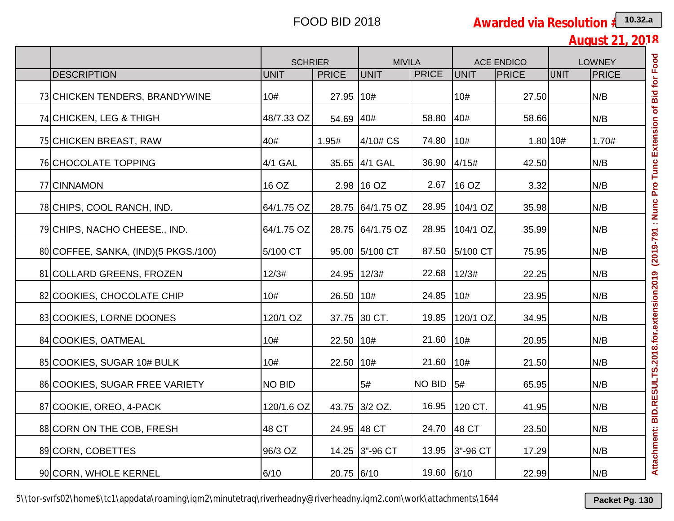**August 21, 2018**

|                                       | <b>SCHRIER</b> |              | <b>MIVILA</b>    |               |             | <b>ACE ENDICO</b> |      | <b>LOWNEY</b> |  |
|---------------------------------------|----------------|--------------|------------------|---------------|-------------|-------------------|------|---------------|--|
| <b>DESCRIPTION</b>                    | <b>UNIT</b>    | <b>PRICE</b> | UNIT             | <b>PRICE</b>  | UNIT        | <b>PRICE</b>      | UNIT | <b>PRICE</b>  |  |
| 73 CHICKEN TENDERS, BRANDYWINE        | 10#            | 27.95 10#    |                  |               | 10#         | 27.50             |      | N/B           |  |
| 74 CHICKEN, LEG & THIGH               | 48/7.33 OZ     | 54.69 40#    |                  | 58.80         | 40#         | 58.66             |      | N/B           |  |
| 75 CHICKEN BREAST, RAW                | 40#            | 1.95#        | 4/10# CS         | 74.80         | 10#         | 1.80 10#          |      | 1.70#         |  |
| 76 CHOCOLATE TOPPING                  | 4/1 GAL        |              | 35.65 4/1 GAL    | 36.90         | 4/15#       | 42.50             |      | N/B           |  |
| 77 CINNAMON                           | 16 OZ          |              | 2.98 16 OZ       | 2.67          | 16 OZ       | 3.32              |      | N/B           |  |
| 78 CHIPS, COOL RANCH, IND.            | 64/1.75 OZ     |              | 28.75 64/1.75 OZ | 28.95         | 104/1 OZ    | 35.98             |      | N/B           |  |
| 79 CHIPS, NACHO CHEESE., IND.         | 64/1.75 OZ     |              | 28.75 64/1.75 OZ | 28.95         | $104/1$ OZ. | 35.99             |      | N/B           |  |
| 80 COFFEE, SANKA, (IND) (5 PKGS./100) | 5/100 CT       |              | 95.00 5/100 CT   | 87.50         | 5/100 CT    | 75.95             |      | N/B           |  |
| 81 COLLARD GREENS, FROZEN             | 12/3#          | 24.95 12/3#  |                  | 22.68         | 12/3#       | 22.25             |      | N/B           |  |
| 82 COOKIES, CHOCOLATE CHIP            | 10#            | 26.50 10#    |                  | 24.85         | 10#         | 23.95             |      | N/B           |  |
| 83 COOKIES, LORNE DOONES              | 120/1 OZ       |              | 37.75 30 CT.     | 19.85         | 120/1 OZ.   | 34.95             |      | N/B           |  |
| 84 COOKIES, OATMEAL                   | 10#            | 22.50 10#    |                  | 21.60         | 10#         | 20.95             |      | N/B           |  |
| 85 COOKIES, SUGAR 10# BULK            | 10#            | 22.50   10#  |                  | 21.60         | 10#         | 21.50             |      | N/B           |  |
| 86 COOKIES, SUGAR FREE VARIETY        | <b>NO BID</b>  |              | 5#               | <b>NO BID</b> | 5#          | 65.95             |      | N/B           |  |
| 87 COOKIE, OREO, 4-PACK               | 120/1.6 OZ     |              | 43.75 3/2 OZ.    | 16.95         | 120 CT.     | 41.95             |      | N/B           |  |
| 88 CORN ON THE COB, FRESH             | 48 CT          |              | 24.95 48 CT      | 24.70         | 48 CT       | 23.50             |      | N/B           |  |
| 89 CORN, COBETTES                     | 96/3 OZ        |              | 14.25 3"-96 CT   | 13.95         | 3"-96 CT    | 17.29             |      | N/B           |  |
| 90 CORN, WHOLE KERNEL                 | 6/10           | 20.75 6/10   |                  | 19.60         | 6/10        | 22.99             |      | N/B           |  |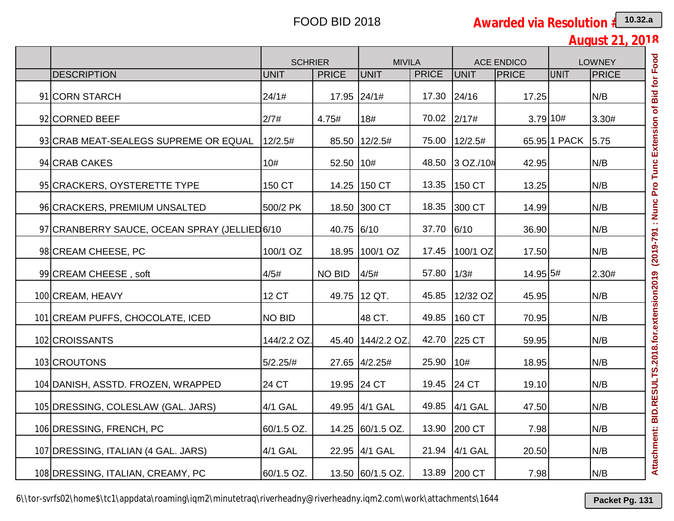**August 21, 2018**

|                                               | <b>SCHRIER</b> |              | <b>MIVILA</b>     |              |               | <b>ACE ENDICO</b> |              | <b>LOWNEY</b> |
|-----------------------------------------------|----------------|--------------|-------------------|--------------|---------------|-------------------|--------------|---------------|
| <b>DESCRIPTION</b>                            | <b>UNIT</b>    | <b>PRICE</b> | UNIT              | <b>PRICE</b> | <b>UNIT</b>   | <b>PRICE</b>      | UNIT         | <b>PRICE</b>  |
| 91 CORN STARCH                                | 24/1#          | 17.95 24/1#  |                   | 17.30        | 24/16         | 17.25             |              | N/B           |
| 92 CORNED BEEF                                | 2/7#           | 4.75#        | 18#               | 70.02        | 2/17#         | 3.79 10#          |              | 3.30#         |
| 93 CRAB MEAT-SEALEGS SUPREME OR EQUAL         | 12/2.5#        |              | 85.50 12/2.5#     | 75.00        | 12/2.5#       |                   | 65.95 1 PACK | 5.75          |
| 94 CRAB CAKES                                 | 10#            | 52.50 10#    |                   | 48.50        | 3 OZ./10#     | 42.95             |              | N/B           |
| 95 CRACKERS, OYSTERETTE TYPE                  | 150 CT         |              | 14.25 150 CT      | 13.35        | 150 CT        | 13.25             |              | N/B           |
| 96 CRACKERS, PREMIUM UNSALTED                 | 500/2 PK       |              | 18.50 300 CT      | 18.35        | 300 CT        | 14.99             |              | N/B           |
| 97 CRANBERRY SAUCE, OCEAN SPRAY (JELLIED 6/10 |                | 40.75 6/10   |                   | 37.70        | 6/10          | 36.90             |              | N/B           |
| 98 CREAM CHEESE, PC                           | 100/1 OZ       |              | 18.95 100/1 OZ    | 17.45        | 100/1 OZ      | 17.50             |              | N/B           |
| 99 CREAM CHEESE, soft                         | 4/5#           | NO BID       | 4/5#              | 57.80        | 1/3#          | 14.95 5#          |              | 2.30#         |
| 100 CREAM, HEAVY                              | <b>12 CT</b>   |              | 49.75 12 QT.      | 45.85        | 12/32 OZ      | 45.95             |              | N/B           |
| 101 CREAM PUFFS, CHOCOLATE, ICED              | <b>NO BID</b>  |              | 48 CT.            | 49.85        | 160 CT        | 70.95             |              | N/B           |
| 102 CROISSANTS                                | 144/2.2 OZ.    |              | 45.40 144/2.2 OZ. | 42.70        | 225 CT        | 59.95             |              | N/B           |
| 103 CROUTONS                                  | $5/2.25/\#$    |              | 27.65 4/2.25#     | 25.90        | 10#           | 18.95             |              | N/B           |
| 104 DANISH, ASSTD. FROZEN, WRAPPED            | 24 CT          |              | 19.95 24 CT       | 19.45        | 24 CT         | 19.10             |              | N/B           |
| 105 DRESSING, COLESLAW (GAL. JARS)            | 4/1 GAL        |              | 49.95 4/1 GAL     | 49.85        | 4/1 GAL       | 47.50             |              | N/B           |
| 106 DRESSING, FRENCH, PC                      | 60/1.5 OZ.     |              | 14.25 60/1.5 OZ.  | 13.90        | <b>200 CT</b> | 7.98              |              | N/B           |
| 107 DRESSING, ITALIAN (4 GAL. JARS)           | 4/1 GAL        |              | 22.95 4/1 GAL     | 21.94        | 4/1 GAL       | 20.50             |              | N/B           |
| 108 DRESSING, ITALIAN, CREAMY, PC             | 60/1.5 OZ.     |              | 13.50 60/1.5 OZ.  | 13.89        | 200 CT        | 7.98              |              | N/B           |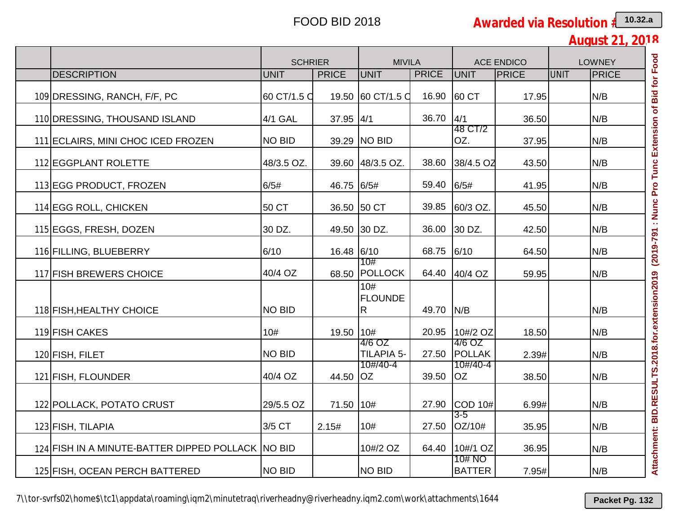**August 21, 2018**

|                                                   |               | <b>SCHRIER</b><br><b>MIVILA</b><br><b>ACE ENDICO</b> |                      |              | <b>LOWNEY</b>           |              |             |              |
|---------------------------------------------------|---------------|------------------------------------------------------|----------------------|--------------|-------------------------|--------------|-------------|--------------|
| <b>DESCRIPTION</b>                                | <b>UNIT</b>   | <b>PRICE</b>                                         | UNIT                 | <b>PRICE</b> | <b>UNIT</b>             | <b>PRICE</b> | <b>UNIT</b> | <b>PRICE</b> |
| 109 DRESSING, RANCH, F/F, PC                      | 60 CT/1.5 C   |                                                      | 19.50 60 CT/1.5 C    | 16.90        | 60 CT                   | 17.95        |             | N/B          |
| 110 DRESSING, THOUSAND ISLAND                     | 4/1 GAL       | $37.95$ 4/1                                          |                      | 36.70        | 4/1                     | 36.50        |             | N/B          |
| 111 ECLAIRS, MINI CHOC ICED FROZEN                | <b>NO BID</b> |                                                      | 39.29   NO BID       |              | 48 CT/2<br>OZ.          | 37.95        |             | N/B          |
| 112 EGGPLANT ROLETTE                              | 48/3.5 OZ.    |                                                      | 39.60 48/3.5 OZ.     | 38.60        | 38/4.5 OZ               | 43.50        |             | N/B          |
| 113 EGG PRODUCT, FROZEN                           | 6/5#          | 46.75 6/5#                                           |                      | 59.40        | 6/5#                    | 41.95        |             | N/B          |
| 114 EGG ROLL, CHICKEN                             | 50 CT         |                                                      | 36.50 50 CT          | 39.85        | 60/3 OZ.                | 45.50        |             | N/B          |
| 115 EGGS, FRESH, DOZEN                            | 30 DZ.        |                                                      | 49.50 30 DZ.         | 36.00        | 30 DZ.                  | 42.50        |             | N/B          |
| 116 FILLING, BLUEBERRY                            | 6/10          | 16.48 6/10                                           |                      | 68.75        | 6/10                    | 64.50        |             | N/B          |
| 117 FISH BREWERS CHOICE                           | 40/4 OZ       |                                                      | 10#<br>68.50 POLLOCK | 64.40        | 40/4 OZ                 | 59.95        |             | N/B          |
| 118 FISH, HEALTHY CHOICE                          | <b>NO BID</b> |                                                      | 10#<br>FLOUNDE<br>R  | 49.70        | IN/B                    |              |             | N/B          |
| 119 FISH CAKES                                    | 10#           | 19.50 10#                                            |                      | 20.95        | 10#/2 OZ                | 18.50        |             | N/B          |
| 120 FISH, FILET                                   | <b>NO BID</b> |                                                      | 4/6 OZ<br>TILAPIA 5- | 27.50        | 4/6 OZ<br><b>POLLAK</b> | 2.39#        |             | N/B          |
| 121 FISH, FLOUNDER                                | 40/4 OZ       | 44.50 OZ                                             | 10#/40-4             | 39.50        | 10#/40-4<br><b>OZ</b>   | 38.50        |             | N/B          |
| 122 POLLACK, POTATO CRUST                         | 29/5.5 OZ     | 71.50 10#                                            |                      | 27.90        | COD 10#                 | 6.99#        |             | N/B          |
| 123 FISH, TILAPIA                                 | 3/5 CT        | 2.15#                                                | 10#                  |              | $3 - 5$<br>27.50 OZ/10# | 35.95        |             | N/B          |
| 124 FISH IN A MINUTE-BATTER DIPPED POLLACK NO BID |               |                                                      | 10#/2 OZ             | 64.40        | 10#/1 OZ                | 36.95        |             | N/B          |
| 125 FISH, OCEAN PERCH BATTERED                    | <b>NO BID</b> |                                                      | <b>NO BID</b>        |              | 10# NO<br><b>BATTER</b> | 7.95#        |             | N/B          |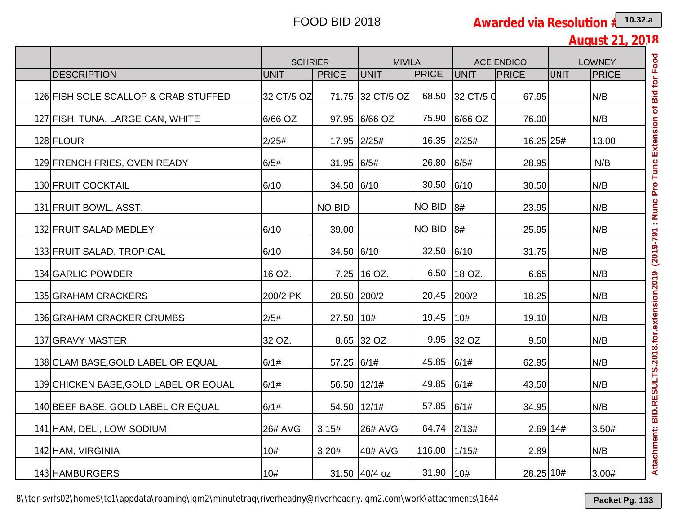**August 21, 2018**

|                                       | <b>SCHRIER</b> |               | <b>MIVILA</b>    |               |           | <b>ACE ENDICO</b> |             | <b>LOWNEY</b> |
|---------------------------------------|----------------|---------------|------------------|---------------|-----------|-------------------|-------------|---------------|
| <b>DESCRIPTION</b>                    | <b>UNIT</b>    | <b>PRICE</b>  | <b>UNIT</b>      | <b>PRICE</b>  | UNIT      | <b>PRICE</b>      | <b>UNIT</b> | <b>PRICE</b>  |
| 126 FISH SOLE SCALLOP & CRAB STUFFED  | 32 CT/5 OZ     |               | 71.75 32 CT/5 OZ | 68.50         | 32 CT/5 Q | 67.95             |             | N/B           |
| 127 FISH, TUNA, LARGE CAN, WHITE      | 6/66 OZ        |               | 97.95 6/66 OZ    | 75.90         | 6/66 OZ   | 76.00             |             | N/B           |
| 128 FLOUR                             | 2/25#          | 17.95 2/25#   |                  | 16.35         | 2/25#     | 16.25 25#         |             | 13.00         |
| 129 FRENCH FRIES, OVEN READY          | 6/5#           | 31.95 6/5#    |                  | 26.80         | 6/5#      | 28.95             |             | N/B           |
| 130 FRUIT COCKTAIL                    | 6/10           | 34.50 6/10    |                  | 30.50         | 6/10      | 30.50             |             | N/B           |
| 131 FRUIT BOWL, ASST.                 |                | <b>NO BID</b> |                  | <b>NO BID</b> | 8#        | 23.95             |             | N/B           |
| 132 FRUIT SALAD MEDLEY                | 6/10           | 39.00         |                  | NO BID        | 8#        | 25.95             |             | N/B           |
| 133 FRUIT SALAD, TROPICAL             | 6/10           | 34.50 6/10    |                  | 32.50         | 6/10      | 31.75             |             | N/B           |
| 134 GARLIC POWDER                     | 16 OZ.         |               | 7.25 16 OZ.      | 6.50          | 18 OZ.    | 6.65              |             | N/B           |
| 135 GRAHAM CRACKERS                   | 200/2 PK       | 20.50 200/2   |                  | 20.45         | 200/2     | 18.25             |             | N/B           |
| 136 GRAHAM CRACKER CRUMBS             | 2/5#           | 27.50 10#     |                  | 19.45         | 10#       | 19.10             |             | N/B           |
| 137 GRAVY MASTER                      | 32 OZ.         |               | 8.65 32 OZ       | 9.95          | 32 OZ     | 9.50              |             | N/B           |
| 138 CLAM BASE, GOLD LABEL OR EQUAL    | 6/1#           | 57.25 6/1#    |                  | 45.85         | 6/1#      | 62.95             |             | N/B           |
| 139 CHICKEN BASE, GOLD LABEL OR EQUAL | 6/1#           | 56.50 12/1#   |                  | 49.85         | 6/1#      | 43.50             |             | N/B           |
| 140 BEEF BASE, GOLD LABEL OR EQUAL    | 6/1#           | 54.50 12/1#   |                  | 57.85         | 6/1#      | 34.95             |             | N/B           |
| 141 HAM, DELI, LOW SODIUM             | <b>26# AVG</b> | 3.15#         | <b>26# AVG</b>   | 64.74         | 2/13#     |                   | 2.69 14#    | 3.50#         |
| 142 HAM, VIRGINIA                     | 10#            | 3.20#         | 40# AVG          | 116.00        | 1/15#     | 2.89              |             | N/B           |
| 143 HAMBURGERS                        | 10#            |               | 31.50 40/4 oz    | 31.90         | 10#       | 28.25 10#         |             | 3.00#         |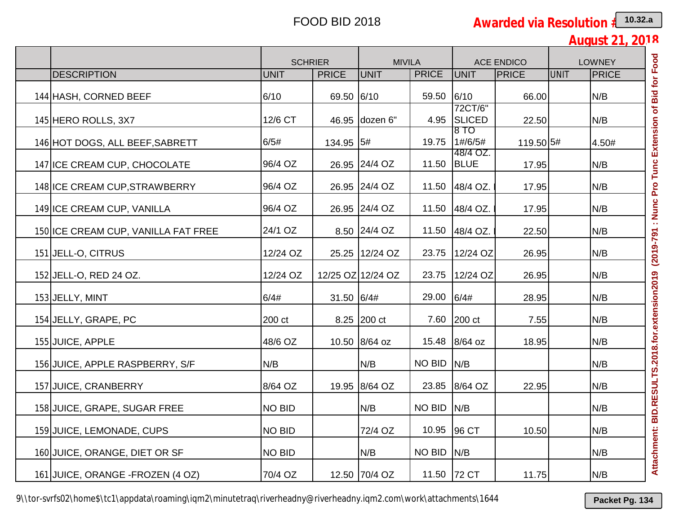**August 21, 2018**

|                                     | <b>SCHRIER</b> |              | <b>MIVILA</b>     |              |                          | <b>ACE ENDICO</b> |             | <b>LOWNEY</b> |
|-------------------------------------|----------------|--------------|-------------------|--------------|--------------------------|-------------------|-------------|---------------|
| <b>DESCRIPTION</b>                  | <b>UNIT</b>    | <b>PRICE</b> | UNIT              | <b>PRICE</b> | <b>UNIT</b>              | <b>PRICE</b>      | <b>UNIT</b> | <b>PRICE</b>  |
| 144 HASH, CORNED BEEF               | 6/10           | 69.50 6/10   |                   | 59.50        | 6/10                     | 66.00             |             | N/B           |
| 145 HERO ROLLS, 3X7                 | 12/6 CT        |              | 46.95 dozen 6"    | 4.95         | 72CT/6"<br><b>SLICED</b> | 22.50             |             | N/B           |
| 146 HOT DOGS, ALL BEEF, SABRETT     | 6/5#           | 134.95 5#    |                   | 19.75        | 8 TO<br>1#/6/5#          | 119.50 5#         |             | 4.50#         |
| 147 ICE CREAM CUP, CHOCOLATE        | 96/4 OZ        |              | 26.95 24/4 OZ     | 11.50        | 48/4 OZ.<br><b>BLUE</b>  | 17.95             |             | N/B           |
| 148 ICE CREAM CUP, STRAWBERRY       | 96/4 OZ        |              | 26.95 24/4 OZ     | 11.50        | 48/4 OZ.                 | 17.95             |             | N/B           |
| 149 ICE CREAM CUP, VANILLA          | 96/4 OZ        |              | 26.95 24/4 OZ     | 11.50        | 48/4 OZ.                 | 17.95             |             | N/B           |
| 150 ICE CREAM CUP, VANILLA FAT FREE | 24/1 OZ        |              | 8.50 24/4 OZ      | 11.50        | 48/4 OZ.                 | 22.50             |             | N/B           |
| 151 JELL-O, CITRUS                  | 12/24 OZ       |              | 25.25 12/24 OZ    | 23.75        | 12/24 OZ                 | 26.95             |             | N/B           |
| 152 JELL-O, RED 24 OZ.              | 12/24 OZ       |              | 12/25 OZ 12/24 OZ | 23.75        | 12/24 OZ                 | 26.95             |             | N/B           |
| 153 JELLY, MINT                     | 6/4#           | 31.50 6/4#   |                   | 29.00        | 6/4#                     | 28.95             |             | N/B           |
| 154 JELLY, GRAPE, PC                | 200 ct         |              | 8.25 200 ct       | 7.60         | 200 ct                   | 7.55              |             | N/B           |
| 155 JUICE, APPLE                    | 48/6 OZ        |              | 10.50 8/64 oz     | 15.48        | 8/64 oz                  | 18.95             |             | N/B           |
| 156 JUICE, APPLE RASPBERRY, S/F     | N/B            |              | N/B               | NO BID       | N/B                      |                   |             | N/B           |
| 157 JUICE, CRANBERRY                | 8/64 OZ        |              | 19.95 8/64 OZ     | 23.85        | 8/64 OZ                  | 22.95             |             | N/B           |
| 158 JUICE, GRAPE, SUGAR FREE        | <b>NO BID</b>  |              | N/B               | NO BID       | N/B                      |                   |             | N/B           |
| 159 JUICE, LEMONADE, CUPS           | <b>NO BID</b>  |              | 72/4 OZ           | 10.95        | 96 CT                    | 10.50             |             | N/B           |
| 160 JUICE, ORANGE, DIET OR SF       | <b>NO BID</b>  |              | N/B               | NO BID       | N/B                      |                   |             | N/B           |
| 161 JUICE, ORANGE - FROZEN (4 OZ)   | 70/4 OZ        |              | 12.50 70/4 OZ     |              | 11.50 72 CT              | 11.75             |             | N/B           |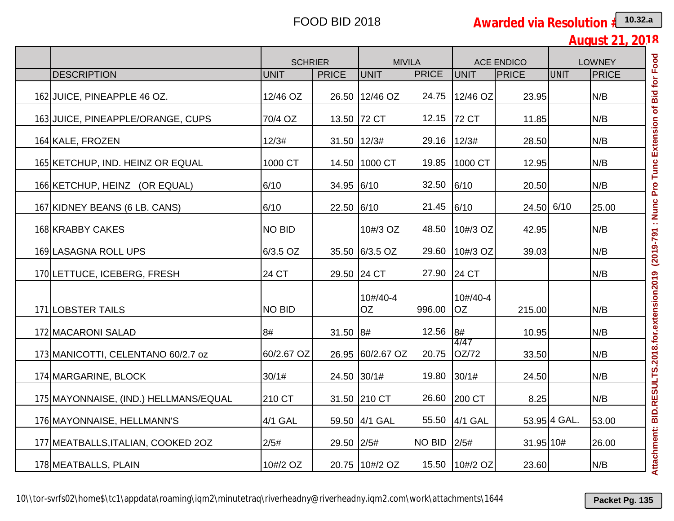**August 21, 2018**

|                                       | <b>SCHRIER</b> |              | <b>MIVILA</b>    |              |                       | <b>ACE ENDICO</b> |              | <b>LOWNEY</b> |
|---------------------------------------|----------------|--------------|------------------|--------------|-----------------------|-------------------|--------------|---------------|
| <b>DESCRIPTION</b>                    | <b>UNIT</b>    | <b>PRICE</b> | <b>UNIT</b>      | <b>PRICE</b> | <b>UNIT</b>           | PRICE             | <b>UNIT</b>  | <b>PRICE</b>  |
| 162 JUICE, PINEAPPLE 46 OZ.           | 12/46 OZ       |              | 26.50 12/46 OZ   | 24.75        | 12/46 OZ              | 23.95             |              | N/B           |
| 163 JUICE, PINEAPPLE/ORANGE, CUPS     | 70/4 OZ        |              | 13.50 72 CT      | 12.15        | <b>72 CT</b>          | 11.85             |              | N/B           |
| 164 KALE, FROZEN                      | 12/3#          | 31.50 12/3#  |                  | 29.16        | 12/3#                 | 28.50             |              | N/B           |
| 165 KETCHUP, IND. HEINZ OR EQUAL      | 1000 CT        |              | 14.50 1000 CT    | 19.85        | 1000 CT               | 12.95             |              | N/B           |
| 166 KETCHUP, HEINZ (OR EQUAL)         | 6/10           | 34.95 6/10   |                  | 32.50        | 6/10                  | 20.50             |              | N/B           |
| 167 KIDNEY BEANS (6 LB. CANS)         | 6/10           | 22.50 6/10   |                  | 21.45        | 6/10                  | 24.50 6/10        |              | 25.00         |
| 168 KRABBY CAKES                      | <b>NO BID</b>  |              | 10#/3 OZ         | 48.50        | 10#/3 OZ              | 42.95             |              | N/B           |
| 169 LASAGNA ROLL UPS                  | 6/3.5 OZ       |              | 35.50 6/3.5 OZ   | 29.60        | 10#/3 OZ              | 39.03             |              | N/B           |
| 170 LETTUCE, ICEBERG, FRESH           | 24 CT          |              | 29.50 24 CT      | 27.90        | 24 CT                 |                   |              | N/B           |
| 171 LOBSTER TAILS                     | <b>NO BID</b>  |              | 10#/40-4<br>OZ.  | 996.00       | 10#/40-4<br><b>OZ</b> | 215.00            |              | N/B           |
| 172 MACARONI SALAD                    | 8#             | 31.50 8#     |                  | 12.56        | 8#                    | 10.95             |              | N/B           |
| 173 MANICOTTI, CELENTANO 60/2.7 oz    | 60/2.67 OZ     |              | 26.95 60/2.67 OZ | 20.75        | 4/47<br>OZ/72         | 33.50             |              | N/B           |
| 174 MARGARINE, BLOCK                  | 30/1#          | 24.50 30/1#  |                  | 19.80        | 30/1#                 | 24.50             |              | N/B           |
| 175 MAYONNAISE, (IND.) HELLMANS/EQUAL | 210 CT         |              | 31.50 210 CT     | 26.60        | 200 CT                | 8.25              |              | N/B           |
| 176 MAYONNAISE, HELLMANN'S            | 4/1 GAL        |              | 59.50 4/1 GAL    |              | 55.50 4/1 GAL         |                   | 53.95 4 GAL. | 53.00         |
| 177 MEATBALLS, ITALIAN, COOKED 20Z    | 2/5#           | 29.50 2/5#   |                  | NO BID       | 2/5#                  | 31.95 10#         |              | 26.00         |
| 178 MEATBALLS, PLAIN                  | 10#/2 OZ       |              | 20.75 10#/2 OZ   | 15.50        | 10#/2 OZ              | 23.60             |              | N/B           |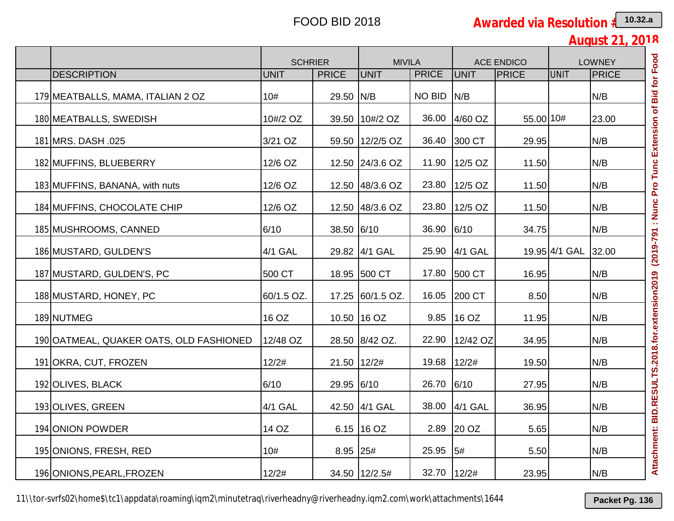**August 21, 2018**

|                                         | <b>SCHRIER</b> |               | <b>MIVILA</b>    |               |               | <b>ACE ENDICO</b> |               | <b>LOWNEY</b> |
|-----------------------------------------|----------------|---------------|------------------|---------------|---------------|-------------------|---------------|---------------|
| <b>DESCRIPTION</b>                      | <b>UNIT</b>    | <b>PRICE</b>  | <b>UNIT</b>      | <b>PRICE</b>  | UNIT          | <b>PRICE</b>      | <b>UNIT</b>   | PRICE         |
| 179 MEATBALLS, MAMA, ITALIAN 2 OZ       | 10#            | 29.50 N/B     |                  | <b>NO BID</b> | N/B           |                   |               | N/B           |
| 180 MEATBALLS, SWEDISH                  | 10#/2 OZ       |               | 39.50 10#/2 OZ   | 36.00         | 4/60 OZ       | 55.00 10#         |               | 23.00         |
| 181 MRS. DASH .025                      | 3/21 OZ        |               | 59.50 12/2/5 OZ  | 36.40         | 300 CT        | 29.95             |               | N/B           |
| 182 MUFFINS, BLUEBERRY                  | 12/6 OZ        |               | 12.50 24/3.6 OZ  | 11.90         | $12/5$ OZ     | 11.50             |               | N/B           |
| 183 MUFFINS, BANANA, with nuts          | 12/6 OZ        |               | 12.50 48/3.6 OZ  | 23.80         | 12/5 OZ       | 11.50             |               | N/B           |
| 184 MUFFINS, CHOCOLATE CHIP             | 12/6 OZ        |               | 12.50 48/3.6 OZ  | 23.80         | 12/5 OZ       | 11.50             |               | N/B           |
| 185 MUSHROOMS, CANNED                   | 6/10           | 38.50 6/10    |                  | 36.90         | 6/10          | 34.75             |               | N/B           |
| 186 MUSTARD, GULDEN'S                   | 4/1 GAL        |               | 29.82 4/1 GAL    | 25.90         | 4/1 GAL       |                   | 19.95 4/1 GAL | 32.00         |
| 187 MUSTARD, GULDEN'S, PC               | 500 CT         |               | 18.95 500 CT     | 17.80         | 500 CT        | 16.95             |               | N/B           |
| 188 MUSTARD, HONEY, PC                  | 60/1.5 OZ.     |               | 17.25 60/1.5 OZ. | 16.05         | 200 CT        | 8.50              |               | N/B           |
| 189 NUTMEG                              | 16 OZ          |               | 10.50 16 OZ      | 9.85          | 16 OZ         | 11.95             |               | N/B           |
| 190 OATMEAL, QUAKER OATS, OLD FASHIONED | 12/48 OZ       |               | 28.50 8/42 OZ.   | 22.90         | 12/42 OZ      | 34.95             |               | N/B           |
| 191 OKRA, CUT, FROZEN                   | 12/2#          | 21.50   12/2# |                  | 19.68         | 12/2#         | 19.50             |               | N/B           |
| 192 OLIVES, BLACK                       | 6/10           | 29.95 6/10    |                  | 26.70         | 6/10          | 27.95             |               | N/B           |
| 193 OLIVES, GREEN                       | 4/1 GAL        |               | 42.50 4/1 GAL    |               | 38.00 4/1 GAL | 36.95             |               | N/B           |
| 194 ONION POWDER                        | 14 OZ          |               | 6.15   16 OZ     |               | 2.89 20 OZ    | 5.65              |               | IN/B          |
| 195 ONIONS, FRESH, RED                  | 10#            | 8.95 25#      |                  | 25.95         | 5#            | 5.50              |               | N/B           |
| 196 ONIONS, PEARL, FROZEN               | 12/2#          |               | 34.50 12/2.5#    | 32.70         | 12/2#         | 23.95             |               | N/B           |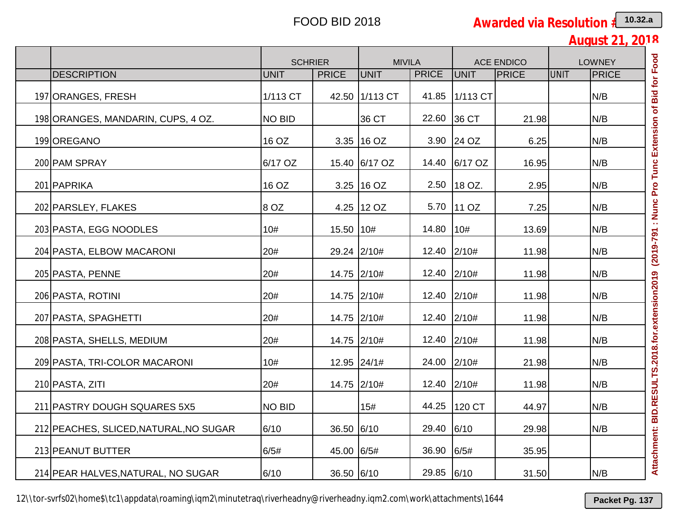|                                        |               | <b>SCHRIER</b> | <b>MIVILA</b>  |              |               | <b>ACE ENDICO</b> |      | <b>LOWNEY</b> |
|----------------------------------------|---------------|----------------|----------------|--------------|---------------|-------------------|------|---------------|
| <b>DESCRIPTION</b>                     | <b>UNIT</b>   | <b>PRICE</b>   | <b>UNIT</b>    | <b>PRICE</b> | <b>UNIT</b>   | <b>PRICE</b>      | UNIT | PRICE         |
| 197 ORANGES, FRESH                     | 1/113 CT      |                | 42.50 1/113 CT | 41.85        | 1/113 CT      |                   |      | N/B           |
| 198 ORANGES, MANDARIN, CUPS, 4 OZ.     | <b>NO BID</b> |                | 36 CT          | 22.60        | 36 CT         | 21.98             |      | N/B           |
| 199 OREGANO                            | 16 OZ         |                | $3.35$   16 OZ |              | 3.90 24 OZ    | 6.25              |      | N/B           |
| 200 PAM SPRAY                          | 6/17 OZ       |                | 15.40 6/17 OZ  |              | 14.40 6/17 OZ | 16.95             |      | N/B           |
| 201 PAPRIKA                            | 16 OZ         |                | $3.25$ 16 OZ   | 2.50         | 18 OZ.        | 2.95              |      | N/B           |
| 202 PARSLEY, FLAKES                    | 8 OZ          |                | 4.25 12 OZ     | 5.70         | 110Z          | 7.25              |      | N/B           |
| 203 PASTA, EGG NOODLES                 | 10#           | 15.50 10#      |                | 14.80        | 10#           | 13.69             |      | N/B           |
| 204 PASTA, ELBOW MACARONI              | 20#           |                | 29.24 2/10#    | 12.40        | 2/10#         | 11.98             |      | N/B           |
| 205 PASTA, PENNE                       | 20#           |                | 14.75 2/10#    | 12.40 2/10#  |               | 11.98             |      | N/B           |
| 206 PASTA, ROTINI                      | 20#           |                | 14.75 2/10#    | 12.40 2/10#  |               | 11.98             |      | N/B           |
| 207 PASTA, SPAGHETTI                   | 20#           |                | 14.75 2/10#    | 12.40 2/10#  |               | 11.98             |      | N/B           |
| 208 PASTA, SHELLS, MEDIUM              | 20#           |                | 14.75 2/10#    | 12.40 2/10#  |               | 11.98             |      | N/B           |
| 209 PASTA, TRI-COLOR MACARONI          | 10#           |                | 12.95 24/1#    | 24.00 2/10#  |               | 21.98             |      | N/B           |
| 210 PASTA, ZITI                        | 20#           |                | 14.75 2/10#    | 12.40 2/10#  |               | 11.98             |      | N/B           |
| 211 PASTRY DOUGH SQUARES 5X5           | <b>NO BID</b> |                | 15#            | 44.25        | 120 CT        | 44.97             |      | N/B           |
| 212 PEACHES, SLICED, NATURAL, NO SUGAR | 6/10          | 36.50 6/10     |                | 29.40        | 6/10          | 29.98             |      | N/B           |
| 213 PEANUT BUTTER                      | 6/5#          | 45.00 6/5#     |                | 36.90        | 6/5#          | 35.95             |      |               |
| 214 PEAR HALVES, NATURAL, NO SUGAR     | 6/10          | 36.50 6/10     |                | 29.85 6/10   |               | 31.50             |      | N/B           |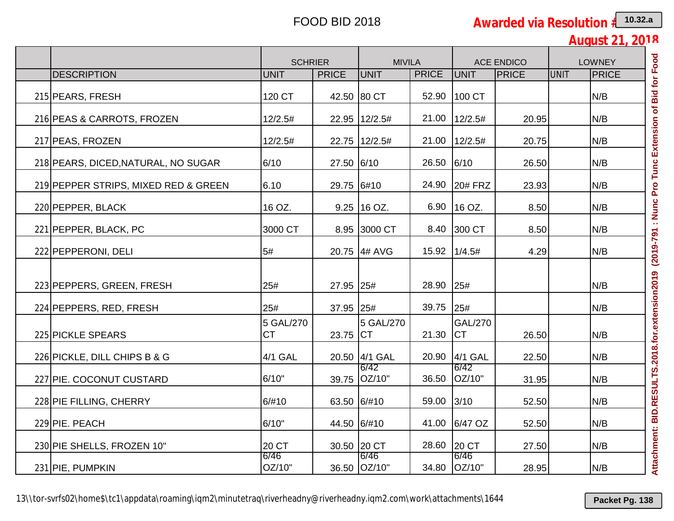|                                      | <b>SCHRIER</b>         |              | <b>MIVILA</b>        |              |                             | <b>ACE ENDICO</b> | <b>LOWNEY</b> |              |
|--------------------------------------|------------------------|--------------|----------------------|--------------|-----------------------------|-------------------|---------------|--------------|
| <b>DESCRIPTION</b>                   | <b>UNIT</b>            | <b>PRICE</b> | <b>UNIT</b>          | <b>PRICE</b> | <b>UNIT</b>                 | <b>PRICE</b>      | <b>UNIT</b>   | <b>PRICE</b> |
| 215 PEARS, FRESH                     | 120 CT                 |              | 42.50 80 CT          | 52.90        | 100 CT                      |                   |               | N/B          |
| 216 PEAS & CARROTS, FROZEN           | 12/2.5#                |              | 22.95 12/2.5#        | 21.00        | 12/2.5#                     | 20.95             |               | N/B          |
| 217 PEAS, FROZEN                     | 12/2.5#                |              | 22.75 12/2.5#        | 21.00        | 12/2.5#                     | 20.75             |               | N/B          |
| 218 PEARS, DICED, NATURAL, NO SUGAR  | 6/10                   | 27.50 6/10   |                      | 26.50        | 6/10                        | 26.50             |               | N/B          |
| 219 PEPPER STRIPS, MIXED RED & GREEN | 6.10                   | 29.75 6#10   |                      | 24.90        | <b>20# FRZ</b>              | 23.93             |               | N/B          |
| 220 PEPPER, BLACK                    | 16 OZ.                 |              | $9.25$ 16 OZ.        | 6.90         | 16 OZ.                      | 8.50              |               | N/B          |
| 221 PEPPER, BLACK, PC                | 3000 CT                |              | 8.95 3000 CT         | 8.40         | 300 CT                      | 8.50              |               | N/B          |
| 222 PEPPERONI, DELI                  | 5#                     |              | 20.75 4# AVG         | 15.92        | 1/4.5#                      | 4.29              |               | N/B          |
| 223 PEPPERS, GREEN, FRESH            | 25#                    | 27.95 25#    |                      | 28.90        | 25#                         |                   |               | N/B          |
| 224 PEPPERS, RED, FRESH              | 25#                    | 37.95 25#    |                      | 39.75        | 25#                         |                   |               | N/B          |
| 225 PICKLE SPEARS                    | 5 GAL/270<br><b>CT</b> | 23.75 CT     | 5 GAL/270            | 21.30        | <b>GAL/270</b><br><b>CT</b> | 26.50             |               | N/B          |
| 226 PICKLE, DILL CHIPS B & G         | 4/1 GAL                |              | 20.50 4/1 GAL        | 20.90        | 4/1 GAL                     | 22.50             |               | N/B          |
| 227 PIE. COCONUT CUSTARD             | 6/10"                  |              | 6/42<br>39.75 OZ/10" | 36.50        | 6/42<br>OZ/10"              | 31.95             |               | N/B          |
| 228 PIE FILLING, CHERRY              | 6/#10                  | 63.50 6/#10  |                      | 59.00        | 3/10                        | 52.50             |               | N/B          |
| 229 PIE. PEACH                       | 6/10"                  |              | 44.50 6/#10          |              | 41.00 6/47 OZ               | 52.50             |               | N/B          |
| 230 PIE SHELLS, FROZEN 10"           | 20 CT                  |              | 30.50 20 CT          | 28.60        | 20 CT                       | 27.50             |               | N/B          |
| 231 PIE, PUMPKIN                     | 6/46<br>OZ/10"         |              | 6/46<br>36.50 OZ/10" | 34.80        | 6/46<br>OZ/10"              | 28.95             |               | N/B          |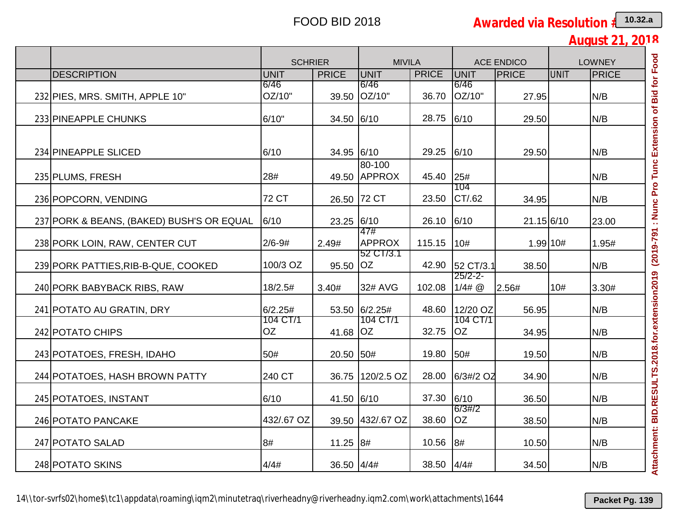|                                           | <b>SCHRIER</b>      |              | <b>MIVILA</b>              |              |                        | <b>ACE ENDICO</b> | <b>LOWNEY</b> |              |
|-------------------------------------------|---------------------|--------------|----------------------------|--------------|------------------------|-------------------|---------------|--------------|
| <b>DESCRIPTION</b>                        | UNIT                | <b>PRICE</b> | UNIT                       | <b>PRICE</b> | UNIT                   | <b>PRICE</b>      | UNIT          | <b>PRICE</b> |
| 232 PIES, MRS. SMITH, APPLE 10"           | 6/46<br>OZ/10"      |              | 6/46<br>39.50 OZ/10"       | 36.70        | 6/46<br>OZ/10"         | 27.95             |               | N/B          |
| 233 PINEAPPLE CHUNKS                      | 6/10"               | 34.50 6/10   |                            | 28.75        | 6/10                   | 29.50             |               | N/B          |
| 234 PINEAPPLE SLICED                      | 6/10                | 34.95 6/10   |                            | 29.25        | 6/10                   | 29.50             |               | N/B          |
| 235 PLUMS, FRESH                          | 28#                 |              | 80-100<br>49.50 APPROX     | 45.40        | 25#                    |                   |               | N/B          |
| 236 POPCORN, VENDING                      | 72 CT               |              | 26.50 72 CT                | 23.50        | 104<br>CT/.62          | 34.95             |               | N/B          |
| 237 PORK & BEANS, (BAKED) BUSH'S OR EQUAL | 6/10                | 23.25 6/10   | 47#                        | 26.10        | 6/10                   | 21.15 6/10        |               | 23.00        |
| 238 PORK LOIN, RAW, CENTER CUT            | $2/6 - 9#$          | 2.49#        | <b>APPROX</b><br>52 CT/3.1 | 115.15       | 10#                    | 1.99 10#          |               | 1.95#        |
| 239 PORK PATTIES, RIB-B-QUE, COOKED       | 100/3 OZ            | 95.50 OZ     |                            | 42.90        | 52 CT/3.1              | 38.50             |               | N/B          |
| 240 PORK BABYBACK RIBS, RAW               | 18/2.5#             | 3.40#        | 32# AVG                    | 102.08       | $25/2 - 2 -$<br>1/4# @ | 2.56#             | 10#           | 3.30#        |
| 241 POTATO AU GRATIN, DRY                 | 6/2.25#<br>104 CT/1 |              | 53.50 6/2.25#<br>104 CT/1  | 48.60        | 12/20 OZ<br>104 CT/1   | 56.95             |               | N/B          |
| 242 POTATO CHIPS                          | <b>OZ</b>           | 41.68 OZ     |                            | 32.75        | <b>OZ</b>              | 34.95             |               | N/B          |
| 243 POTATOES, FRESH, IDAHO                | 50#                 | 20.50 50#    |                            | 19.80        | 50#                    | 19.50             |               | N/B          |
| 244 POTATOES, HASH BROWN PATTY            | 240 CT              |              | 36.75 120/2.5 OZ           | 28.00        | 6/3#/2 OZ              | 34.90             |               | N/B          |
| 245 POTATOES, INSTANT                     | 6/10                | 41.50 6/10   |                            | 37.30        | 6/10<br>6/3#/2         | 36.50             |               | N/B          |
| 246 POTATO PANCAKE                        | 432/.67 OZ          |              | 39.50 432/.67 OZ           | 38.60        | <b>OZ</b>              | 38.50             |               | N/B          |
| 247 POTATO SALAD                          | 8#                  | 11.25 8#     |                            | 10.56        | 8#                     | 10.50             |               | N/B          |
| 248 POTATO SKINS                          | 4/4#                | 36.50 4/4#   |                            | 38.50        | 4/4#                   | 34.50             |               | N/B          |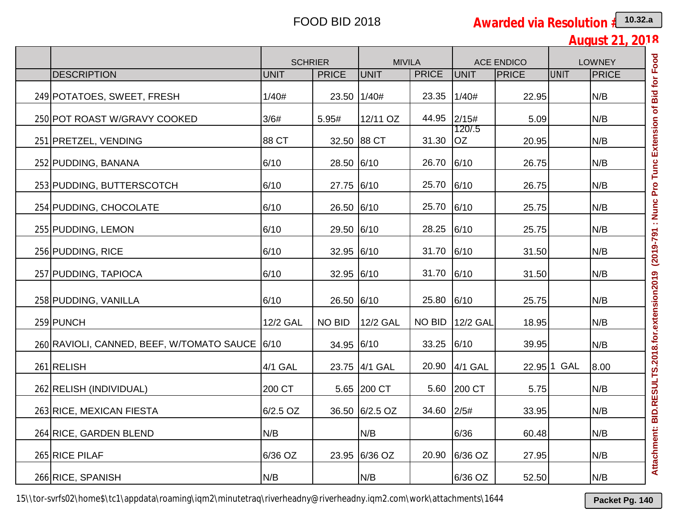**August 21, 2018**

|                                           |                 | <b>SCHRIER</b> | <b>MIVILA</b>  |               |                     | <b>ACE ENDICO</b> |             | <b>LOWNEY</b> |
|-------------------------------------------|-----------------|----------------|----------------|---------------|---------------------|-------------------|-------------|---------------|
| <b>DESCRIPTION</b>                        | <b>UNIT</b>     | <b>PRICE</b>   | <b>UNIT</b>    | <b>PRICE</b>  | UNIT                | <b>PRICE</b>      | <b>UNIT</b> | PRICE         |
| 249 POTATOES, SWEET, FRESH                | 1/40#           | 23.50 1/40#    |                | 23.35         | 1/40#               | 22.95             |             | N/B           |
| 250 POT ROAST W/GRAVY COOKED              | 3/6#            | 5.95#          | 12/11 OZ       | 44.95         | 2/15#               | 5.09              |             | N/B           |
| 251 PRETZEL, VENDING                      | 88 CT           |                | 32.50 88 CT    | 31.30         | 120/.5<br><b>OZ</b> | 20.95             |             | N/B           |
| 252 PUDDING, BANANA                       | 6/10            | 28.50 6/10     |                | 26.70         | 6/10                | 26.75             |             | N/B           |
| 253 PUDDING, BUTTERSCOTCH                 | 6/10            | 27.75 6/10     |                | 25.70         | 6/10                | 26.75             |             | N/B           |
| 254 PUDDING, CHOCOLATE                    | 6/10            | 26.50 6/10     |                | 25.70         | 6/10                | 25.75             |             | N/B           |
| 255 PUDDING, LEMON                        | 6/10            | 29.50 6/10     |                | 28.25         | 6/10                | 25.75             |             | N/B           |
| 256 PUDDING, RICE                         | 6/10            | 32.95 6/10     |                | 31.70         | 6/10                | 31.50             |             | N/B           |
| 257 PUDDING, TAPIOCA                      | 6/10            | 32.95 6/10     |                | 31.70         | 6/10                | 31.50             |             | N/B           |
| 258 PUDDING, VANILLA                      | 6/10            | 26.50 6/10     |                | 25.80         | 6/10                | 25.75             |             | N/B           |
| 259 PUNCH                                 | <b>12/2 GAL</b> | <b>NO BID</b>  | 12/2 GAL       | <b>NO BID</b> | 12/2 GAL            | 18.95             |             | N/B           |
| 260 RAVIOLI, CANNED, BEEF, W/TOMATO SAUCE | 6/10            | 34.95 6/10     |                | 33.25         | 6/10                | 39.95             |             | N/B           |
| 261 RELISH                                | 4/1 GAL         |                | 23.75 4/1 GAL  | 20.90         | 4/1 GAL             |                   | 22.95 1 GAL | 8.00          |
| 262 RELISH (INDIVIDUAL)                   | 200 CT          |                | 5.65 200 CT    |               | 5.60 200 CT         | 5.75              |             | N/B           |
| 263 RICE, MEXICAN FIESTA                  | 6/2.5 OZ        |                | 36.50 6/2.5 OZ | 34.60         | 2/5#                | 33.95             |             | N/B           |
| 264 RICE, GARDEN BLEND                    | N/B             |                | N/B            |               | 6/36                | 60.48             |             | N/B           |
| 265 RICE PILAF                            | 6/36 OZ         |                | 23.95 6/36 OZ  | 20.90         | 6/36 OZ             | 27.95             |             | N/B           |
| 266 RICE, SPANISH                         | N/B             |                | N/B            |               | 6/36 OZ             | 52.50             |             | N/B           |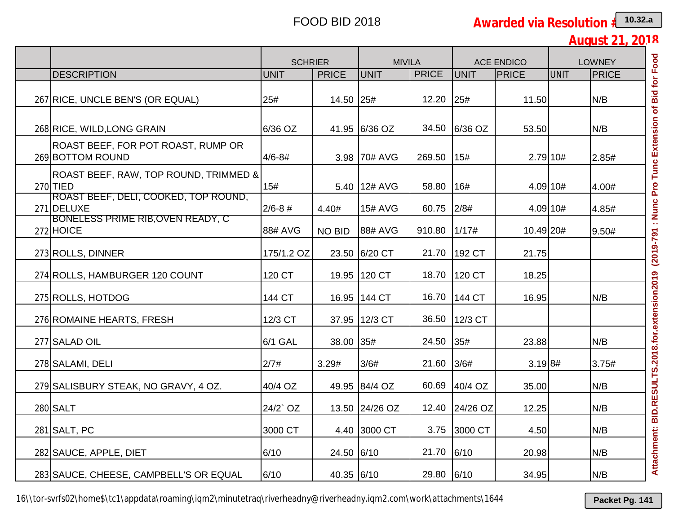| <b>August 21</b> |  | በ1ጸ |
|------------------|--|-----|
|                  |  |     |

|                                                                                         | <b>SCHRIER</b> |               | <b>MIVILA</b>  |              |               | <b>ACE ENDICO</b> | <b>LOWNEY</b> |       |
|-----------------------------------------------------------------------------------------|----------------|---------------|----------------|--------------|---------------|-------------------|---------------|-------|
| <b>DESCRIPTION</b>                                                                      | <b>UNIT</b>    | <b>PRICE</b>  | UNIT           | <b>PRICE</b> | <b>UNIT</b>   | PRICE             | <b>UNIT</b>   | PRICE |
| 267 RICE, UNCLE BEN'S (OR EQUAL)                                                        | 25#            | 14.50 25#     |                | 12.20        | 25#           | 11.50             |               | N/B   |
| 268 RICE, WILD, LONG GRAIN                                                              | 6/36 OZ        |               | 41.95 6/36 OZ  | 34.50        | 6/36 OZ       | 53.50             |               | N/B   |
| ROAST BEEF, FOR POT ROAST, RUMP OR<br>269 BOTTOM ROUND                                  | $4/6 - 8#$     |               | 3.98 70# AVG   | 269.50       | 15#           | $2.79$ 10#        |               | 2.85# |
| ROAST BEEF, RAW, TOP ROUND, TRIMMED &<br>$270$ TIED                                     | 15#            |               | 5.40 12# AVG   | 58.80        | 16#           | 4.09 10#          |               | 4.00# |
| (ROAST BEEF, DELI, COOKED, TOP ROUND,<br>271 DELUXE<br>BONELESS PRIME RIB,OVEN READY, C | $2/6 - 8$ #    | 4.40#         | <b>15# AVG</b> | 60.75        | 2/8#          | 4.09 10#          |               | 4.85# |
| $272$ HOICE                                                                             | 88# AVG        | <b>NO BID</b> | 88# AVG        | 910.80       | 1/17#         | 10.49 20#         |               | 9.50# |
| 273 ROLLS, DINNER                                                                       | 175/1.2 OZ     |               | 23.50 6/20 CT  | 21.70        | 192 CT        | 21.75             |               |       |
| 274 ROLLS, HAMBURGER 120 COUNT                                                          | 120 CT         |               | 19.95 120 CT   | 18.70        | 120 CT        | 18.25             |               |       |
| 275 ROLLS, HOTDOG                                                                       | 144 CT         |               | 16.95 144 CT   | 16.70        | <b>144 CT</b> | 16.95             |               | N/B   |
| 276 ROMAINE HEARTS, FRESH                                                               | 12/3 CT        |               | 37.95 12/3 CT  | 36.50        | 12/3 CT       |                   |               |       |
| 277 SALAD OIL                                                                           | 6/1 GAL        | 38.00 35#     |                | 24.50        | 35#           | 23.88             |               | N/B   |
| 278 SALAMI, DELI                                                                        | 2/7#           | 3.29#         | 3/6#           | 21.60        | 3/6#          | 3.198#            |               | 3.75# |
| 279 SALISBURY STEAK, NO GRAVY, 4 OZ.                                                    | 40/4 OZ        |               | 49.95 84/4 OZ  | 60.69        | 40/4 OZ       | 35.00             |               | N/B   |
| 280 SALT                                                                                | 24/2`OZ        |               | 13.50 24/26 OZ | 12.40        | 24/26 OZ      | 12.25             |               | N/B   |
| 281 SALT, PC                                                                            | 3000 CT        |               | 4.40 3000 CT   |              | 3.75 3000 CT  | 4.50              |               | N/B   |
| 282 SAUCE, APPLE, DIET                                                                  | 6/10           | 24.50 6/10    |                | 21.70        | 6/10          | 20.98             |               | N/B   |
| 283 SAUCE, CHEESE, CAMPBELL'S OR EQUAL                                                  | 6/10           | 40.35 6/10    |                | 29.80 6/10   |               | 34.95             |               | N/B   |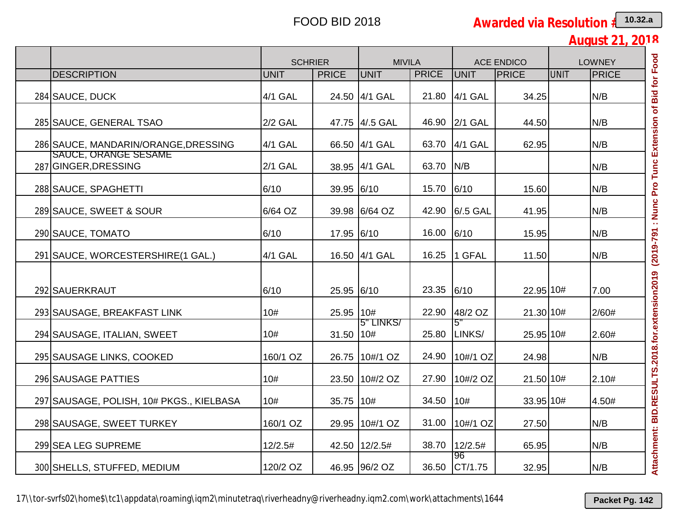**August 21, 2018**

|                                                                     | <b>SCHRIER</b> |              | <b>MIVILA</b>  |              |                | <b>ACE ENDICO</b> |      | <b>LOWNEY</b> |
|---------------------------------------------------------------------|----------------|--------------|----------------|--------------|----------------|-------------------|------|---------------|
| <b>DESCRIPTION</b>                                                  | <b>UNIT</b>    | <b>PRICE</b> | <b>UNIT</b>    | <b>PRICE</b> | UNIT           | <b>PRICE</b>      | UNIT | PRICE         |
| 284 SAUCE, DUCK                                                     | 4/1 GAL        |              | 24.50 4/1 GAL  | 21.80        | 4/1 GAL        | 34.25             |      | N/B           |
| 285 SAUCE, GENERAL TSAO                                             | $2/2$ GAL      |              | 47.75 4/.5 GAL | 46.90        | <b>2/1 GAL</b> | 44.50             |      | N/B           |
| 286 SAUCE, MANDARIN/ORANGE, DRESSING<br><b>SAUCE, ORANGE SESAME</b> | 4/1 GAL        |              | 66.50 4/1 GAL  | 63.70        | 4/1 GAL        | 62.95             |      | N/B           |
| 287 GINGER, DRESSING                                                | <b>2/1 GAL</b> |              | 38.95 4/1 GAL  | 63.70        | N/B            |                   |      | N/B           |
| 288 SAUCE, SPAGHETTI                                                | 6/10           | 39.95 6/10   |                | 15.70        | 6/10           | 15.60             |      | N/B           |
| 289 SAUCE, SWEET & SOUR                                             | 6/64 OZ        |              | 39.98 6/64 OZ  | 42.90        | 6/.5 GAL       | 41.95             |      | N/B           |
| 290 SAUCE, TOMATO                                                   | 6/10           | 17.95 6/10   |                | 16.00        | 6/10           | 15.95             |      | N/B           |
| 291 SAUCE, WORCESTERSHIRE (1 GAL.)                                  | 4/1 GAL        |              | 16.50 4/1 GAL  | 16.25        | 1 GFAL         | 11.50             |      | N/B           |
| 292 SAUERKRAUT                                                      | 6/10           | 25.95 6/10   |                | 23.35        | 6/10           | 22.95 10#         |      | 7.00          |
| 293 SAUSAGE, BREAKFAST LINK                                         | 10#            | 25.95 10#    |                | 22.90        | 48/2 OZ        | 21.30 10#         |      | 2/60#         |
| 294 SAUSAGE, ITALIAN, SWEET                                         | 10#            | 31.50   10#  | 5" LINKS/      | 25.80        | 5"<br>LINKS/   | 25.95 10#         |      | 2.60#         |
| 295 SAUSAGE LINKS, COOKED                                           | 160/1 OZ       |              | 26.75 10#/1 OZ | 24.90        | 10#/1 OZ       | 24.98             |      | N/B           |
| 296 SAUSAGE PATTIES                                                 | 10#            |              | 23.50 10#/2 OZ | 27.90        | 10#/2 OZ       | 21.50 10#         |      | 2.10#         |
| 297 SAUSAGE, POLISH, 10# PKGS., KIELBASA                            | 10#            | 35.75 10#    |                | 34.50        | 10#            | 33.95 10#         |      | 4.50#         |
| 298 SAUSAGE, SWEET TURKEY                                           | 160/1 OZ       |              | 29.95 10#/1 OZ |              | 31.00 10#/1 OZ | 27.50             |      | N/B           |
| 299 SEA LEG SUPREME                                                 | 12/2.5#        |              | 42.50 12/2.5#  | 38.70        | 12/2.5#        | 65.95             |      | N/B           |
| 300 SHELLS, STUFFED, MEDIUM                                         | 120/2 OZ       |              | 46.95 96/2 OZ  | 36.50        | 96<br>CT/1.75  | 32.95             |      | N/B           |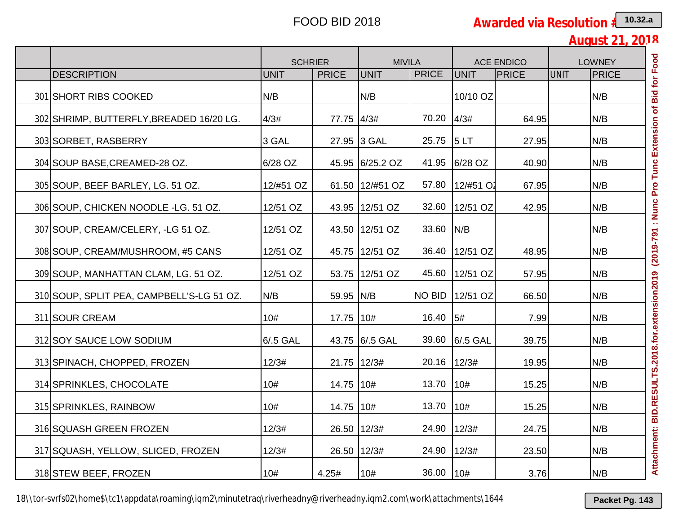| <b>August 21, 2018</b> |  |  |
|------------------------|--|--|
|                        |  |  |

|                                           | <b>SCHRIER</b> |              | <b>MIVILA</b>   |               | <b>ACE ENDICO</b> |       | <b>LOWNEY</b> |              |
|-------------------------------------------|----------------|--------------|-----------------|---------------|-------------------|-------|---------------|--------------|
| <b>DESCRIPTION</b>                        | <b>UNIT</b>    | <b>PRICE</b> | <b>UNIT</b>     | <b>PRICE</b>  | <b>UNIT</b>       | PRICE | <b>UNIT</b>   | <b>PRICE</b> |
| 301 SHORT RIBS COOKED                     | N/B            |              | N/B             |               | 10/10 OZ          |       |               | N/B          |
| 302 SHRIMP, BUTTERFLY, BREADED 16/20 LG.  | 4/3#           | 77.75 4/3#   |                 | 70.20         | 4/3#              | 64.95 |               | N/B          |
| 303 SORBET, RASBERRY                      | 3 GAL          |              | 27.95 3 GAL     | 25.75         | 5LT               | 27.95 |               | N/B          |
| 304 SOUP BASE, CREAMED-28 OZ.             | 6/28 OZ        |              | 45.95 6/25.2 OZ | 41.95         | 6/28 OZ           | 40.90 |               | N/B          |
| 305 SOUP, BEEF BARLEY, LG. 51 OZ.         | 12/#51 OZ      |              | 61.50 12/#51 OZ | 57.80         | 12/#51 O2         | 67.95 |               | N/B          |
| 306 SOUP, CHICKEN NOODLE -LG. 51 OZ.      | 12/51 OZ       |              | 43.95 12/51 OZ  | 32.60         | 12/51 OZ          | 42.95 |               | N/B          |
| 307 SOUP, CREAM/CELERY, -LG 51 OZ.        | 12/51 OZ       |              | 43.50 12/51 OZ  | 33.60         | N/B               |       |               | N/B          |
| 308 SOUP, CREAM/MUSHROOM, #5 CANS         | 12/51 OZ       |              | 45.75 12/51 OZ  | 36.40         | 12/51 OZ          | 48.95 |               | N/B          |
| 309 SOUP, MANHATTAN CLAM, LG. 51 OZ.      | 12/51 OZ       |              | 53.75 12/51 OZ  | 45.60         | 12/51 OZ          | 57.95 |               | N/B          |
| 310 SOUP, SPLIT PEA, CAMPBELL'S-LG 51 OZ. | N/B            | 59.95 N/B    |                 | <b>NO BID</b> | 12/51 OZ          | 66.50 |               | N/B          |
| 311 SOUR CREAM                            | 10#            | 17.75 10#    |                 | 16.40         | 5#                | 7.99  |               | N/B          |
| 312 SOY SAUCE LOW SODIUM                  | 6/.5 GAL       |              | 43.75 6/.5 GAL  | 39.60         | 6/.5 GAL          | 39.75 |               | N/B          |
| 313 SPINACH, CHOPPED, FROZEN              | 12/3#          | 21.75 12/3#  |                 | 20.16         | 12/3#             | 19.95 |               | N/B          |
| 314 SPRINKLES, CHOCOLATE                  | 10#            | 14.75 10#    |                 | 13.70         | 10#               | 15.25 |               | N/B          |
| 315 SPRINKLES, RAINBOW                    | 10#            | 14.75 10#    |                 | 13.70         | 10#               | 15.25 |               | N/B          |
| 316 SQUASH GREEN FROZEN                   | 12/3#          | 26.50 12/3#  |                 | 24.90 12/3#   |                   | 24.75 |               | N/B          |
| 317 SQUASH, YELLOW, SLICED, FROZEN        | 12/3#          | 26.50 12/3#  |                 | 24.90         | 12/3#             | 23.50 |               | N/B          |
| 318 STEW BEEF, FROZEN                     | 10#            | 4.25#        | 10#             | 36.00         | 10#               | 3.76  |               | N/B          |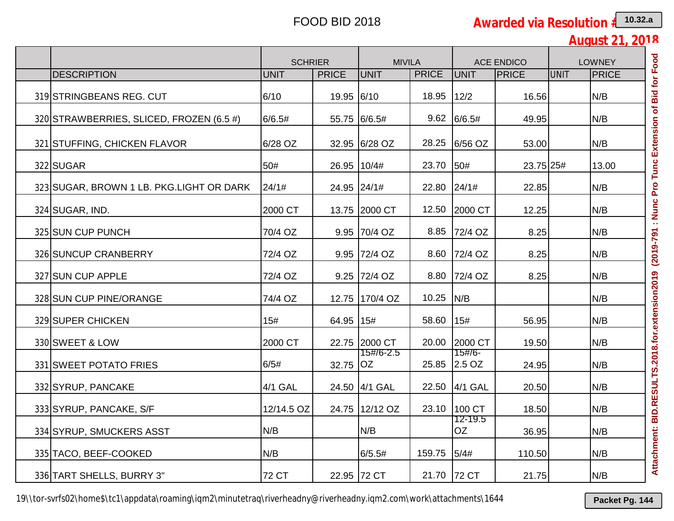**August 21, 2018**

|                                          | <b>SCHRIER</b> |              | <b>MIVILA</b>  |              |                        | <b>ACE ENDICO</b> | <b>LOWNEY</b> |              |
|------------------------------------------|----------------|--------------|----------------|--------------|------------------------|-------------------|---------------|--------------|
| <b>DESCRIPTION</b>                       | UNIT           | <b>PRICE</b> | UNIT           | <b>PRICE</b> | UNIT                   | PRICE             | <b>UNIT</b>   | <b>PRICE</b> |
| 319 STRINGBEANS REG. CUT                 | 6/10           | 19.95 6/10   |                | 18.95        | 12/2                   | 16.56             |               | N/B          |
| 320 STRAWBERRIES, SLICED, FROZEN (6.5 #) | 6/6.5#         |              | 55.75 6/6.5#   |              | 9.62 6/6.5#            | 49.95             |               | N/B          |
| 321 STUFFING, CHICKEN FLAVOR             | 6/28 OZ        |              | 32.95 6/28 OZ  | 28.25        | 6/56 OZ                | 53.00             |               | N/B          |
| 322 SUGAR                                | 50#            | 26.95 10/4#  |                | 23.70 50#    |                        | 23.75 25#         |               | 13.00        |
| 323 SUGAR, BROWN 1 LB. PKG.LIGHT OR DARK | 24/1#          | 24.95 24/1#  |                | 22.80 24/1#  |                        | 22.85             |               | N/B          |
| 324 SUGAR, IND.                          | 2000 CT        |              | 13.75 2000 CT  | 12.50        | 2000 CT                | 12.25             |               | N/B          |
| 325 SUN CUP PUNCH                        | 70/4 OZ        |              | 9.95 70/4 OZ   |              | 8.85 72/4 OZ           | 8.25              |               | N/B          |
| 326 SUNCUP CRANBERRY                     | 72/4 OZ        |              | 9.95 72/4 OZ   |              | 8.60 72/4 OZ           | 8.25              |               | N/B          |
| 327 SUN CUP APPLE                        | 72/4 OZ        |              | 9.25 72/4 OZ   | 8.80         | 72/4 OZ                | 8.25              |               | N/B          |
| 328 SUN CUP PINE/ORANGE                  | 74/4 OZ        |              | 12.75 170/4 OZ | 10.25 N/B    |                        |                   |               | N/B          |
| 329 SUPER CHICKEN                        | 15#            | 64.95 15#    |                | 58.60        | 15#                    | 56.95             |               | N/B          |
| 330 SWEET & LOW                          | 2000 CT        |              | 22.75 2000 CT  | 20.00        | 2000 CT                | 19.50             |               | N/B          |
| 331 SWEET POTATO FRIES                   | 6/5#           | 32.75 OZ     | 15#/6-2.5      |              | 15#/6-<br>25.85 2.5 OZ | 24.95             |               | N/B          |
| 332 SYRUP, PANCAKE                       | 4/1 GAL        |              | 24.50 4/1 GAL  |              | 22.50 4/1 GAL          | 20.50             |               | N/B          |
| 333 SYRUP, PANCAKE, S/F                  | 12/14.5 OZ     |              | 24.75 12/12 OZ | 23.10        | 100 CT                 | 18.50             |               | N/B          |
| 334 SYRUP, SMUCKERS ASST                 | N/B            |              | N/B            |              | 12-19.5<br><b>OZ</b>   | 36.95             |               | N/B          |
| 335 TACO, BEEF-COOKED                    | N/B            |              | 6/5.5#         | 159.75       | 5/4#                   | 110.50            |               | N/B          |
| 336 TART SHELLS, BURRY 3"                | 72 CT          |              | 22.95 72 CT    | 21.70        | 72 CT                  | 21.75             |               | N/B          |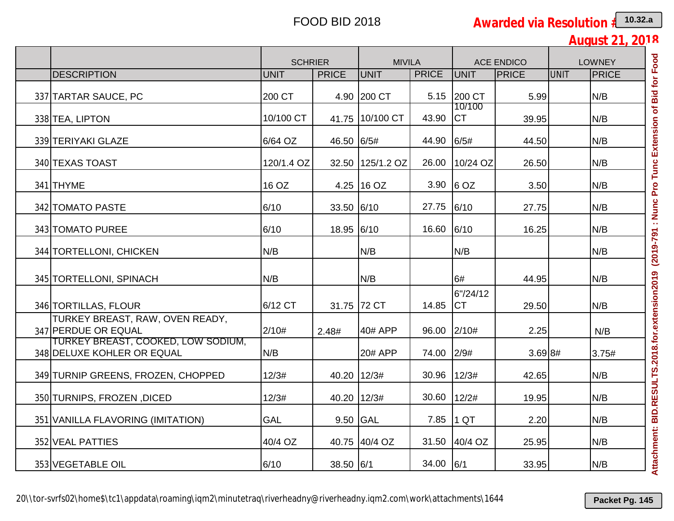|                                                                  | <b>SCHRIER</b> |              | <b>MIVILA</b>    |              |                       | <b>ACE ENDICO</b> |      | <b>LOWNEY</b> |
|------------------------------------------------------------------|----------------|--------------|------------------|--------------|-----------------------|-------------------|------|---------------|
| <b>DESCRIPTION</b>                                               | UNIT           | <b>PRICE</b> | <b>UNIT</b>      | <b>PRICE</b> | UNIT                  | <b>PRICE</b>      | UNIT | <b>PRICE</b>  |
| 337 TARTAR SAUCE, PC                                             | 200 CT         |              | 4.90 200 CT      | 5.15         | 200 CT                | 5.99              |      | N/B           |
| 338 TEA, LIPTON                                                  | 10/100 CT      |              | 41.75 10/100 CT  | 43.90        | 10/100<br><b>ICT</b>  | 39.95             |      | N/B           |
| 339 TERIYAKI GLAZE                                               | 6/64 OZ        | 46.50 6/5#   |                  | 44.90        | 6/5#                  | 44.50             |      | N/B           |
| 340 TEXAS TOAST                                                  | 120/1.4 OZ     |              | 32.50 125/1.2 OZ | 26.00        | $10/24$ OZ            | 26.50             |      | N/B           |
| 341 THYME                                                        | 16 OZ          |              | 4.25 16 OZ       |              | 3.90 6 OZ             | 3.50              |      | N/B           |
| 342 TOMATO PASTE                                                 | 6/10           | 33.50 6/10   |                  | 27.75        | 6/10                  | 27.75             |      | N/B           |
| 343 TOMATO PUREE                                                 | 6/10           | 18.95 6/10   |                  | 16.60        | 6/10                  | 16.25             |      | N/B           |
| 344 TORTELLONI, CHICKEN                                          | N/B            |              | N/B              |              | N/B                   |                   |      | N/B           |
| 345 TORTELLONI, SPINACH                                          | N/B            |              | N/B              |              | 6#                    | 44.95             |      | N/B           |
| 346 TORTILLAS, FLOUR                                             | 6/12 CT        |              | 31.75 72 CT      | 14.85        | 6"/24/12<br><b>CT</b> | 29.50             |      | N/B           |
| TURKEY BREAST, RAW, OVEN READY,<br>347 PERDUE OR EQUAL           | 2/10#          | 2.48#        | 40# APP          | 96.00        | 2/10#                 | 2.25              |      | N/B           |
| TURKEY BREAST, COOKED, LOW SODIUM,<br>348 DELUXE KOHLER OR EQUAL | N/B            |              | 20# APP          | 74.00        | 2/9#                  | 3.698#            |      | 3.75#         |
| 349 TURNIP GREENS, FROZEN, CHOPPED                               | 12/3#          | 40.20 12/3#  |                  | 30.96        | 12/3#                 | 42.65             |      | N/B           |
| 350 TURNIPS, FROZEN, DICED                                       | 12/3#          | 40.20 12/3#  |                  | 30.60        | 12/2#                 | 19.95             |      | N/B           |
| 351 VANILLA FLAVORING (IMITATION)                                | <b>GAL</b>     | 9.50 GAL     |                  | 7.85         | $1$ QT                | 2.20              |      | N/B           |
| 352 VEAL PATTIES                                                 | 40/4 OZ        |              | 40.75 40/4 OZ    | 31.50        | 40/4 OZ               | 25.95             |      | N/B           |
| 353 VEGETABLE OIL                                                | 6/10           | 38.50 6/1    |                  | 34.00 6/1    |                       | 33.95             |      | N/B           |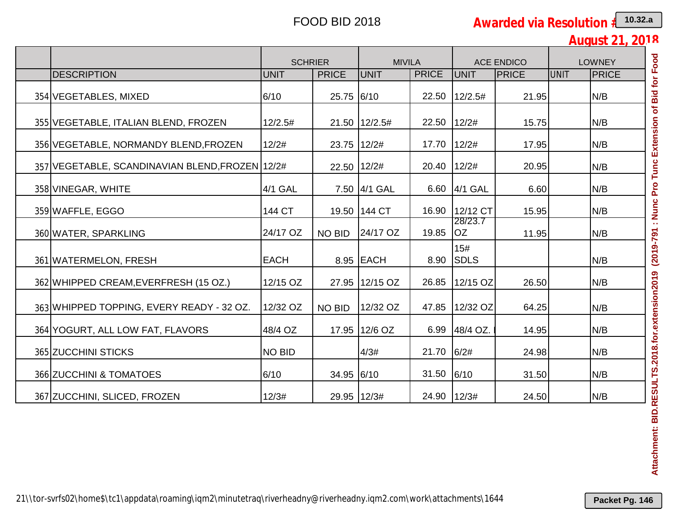| <b>August 21, 2018</b> |  |  |
|------------------------|--|--|
|                        |  |  |

|                                                 | <b>SCHRIER</b> |               | <b>MIVILA</b>   |              | <b>ACE ENDICO</b>    |       | <b>LOWNEY</b> |       |
|-------------------------------------------------|----------------|---------------|-----------------|--------------|----------------------|-------|---------------|-------|
| <b>DESCRIPTION</b>                              | UNIT           | <b>PRICE</b>  | UNIT            | <b>PRICE</b> | UNIT                 | PRICE | <b>UNIT</b>   | PRICE |
| 354 VEGETABLES, MIXED                           | 6/10           | 25.75 6/10    |                 | 22.50        | 12/2.5#              | 21.95 |               | N/B   |
| 355 VEGETABLE, ITALIAN BLEND, FROZEN            | 12/2.5#        |               | 21.50   12/2.5# | 22.50        | 12/2#                | 15.75 |               | N/B   |
| 356 VEGETABLE, NORMANDY BLEND, FROZEN           | 12/2#          | 23.75 12/2#   |                 | 17.70        | 12/2#                | 17.95 |               | N/B   |
| 357 VEGETABLE, SCANDINAVIAN BLEND, FROZEN 12/2# |                | 22.50 12/2#   |                 | 20.40        | 12/2#                | 20.95 |               | N/B   |
| 358 VINEGAR, WHITE                              | 4/1 GAL        |               | 7.50 4/1 GAL    | 6.60         | 4/1 GAL              | 6.60  |               | N/B   |
| 359 WAFFLE, EGGO                                | 144 CT         |               | 19.50 144 CT    | 16.90        | 12/12 CT             | 15.95 |               | N/B   |
| 360 WATER, SPARKLING                            | 24/17 OZ       | <b>NO BID</b> | 24/17 OZ        | 19.85        | 28/23.7<br><b>OZ</b> | 11.95 |               | N/B   |
| 361 WATERMELON, FRESH                           | <b>EACH</b>    |               | 8.95 EACH       | 8.90         | 15#<br><b>SDLS</b>   |       |               | N/B   |
| 362 WHIPPED CREAM, EVERFRESH (15 OZ.)           | 12/15 OZ       |               | 27.95 12/15 OZ  | 26.85        | 12/15 OZ             | 26.50 |               | N/B   |
| 363 WHIPPED TOPPING, EVERY READY - 32 OZ.       | 12/32 OZ       | NO BID        | 12/32 OZ        | 47.85        | 12/32 OZ             | 64.25 |               | N/B   |
| 364 YOGURT, ALL LOW FAT, FLAVORS                | 48/4 OZ        |               | 17.95 12/6 OZ   | 6.99         | 48/4 OZ.             | 14.95 |               | N/B   |
| 365 ZUCCHINI STICKS                             | <b>NO BID</b>  |               | 4/3#            | 21.70        | 6/2#                 | 24.98 |               | N/B   |
| 366 ZUCCHINI & TOMATOES                         | 6/10           | 34.95 6/10    |                 | 31.50        | 6/10                 | 31.50 |               | N/B   |
| 367 ZUCCHINI, SLICED, FROZEN                    | 12/3#          | 29.95 12/3#   |                 | 24.90        | 12/3#                | 24.50 |               | N/B   |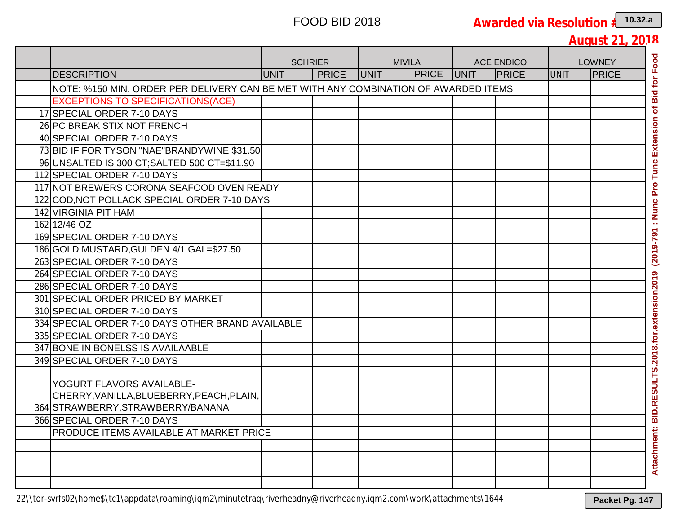|                                                                                                             | <b>SCHRIER</b> |              | <b>MIVILA</b> |              | <b>ACE ENDICO</b> |              | <b>LOWNEY</b> |              |
|-------------------------------------------------------------------------------------------------------------|----------------|--------------|---------------|--------------|-------------------|--------------|---------------|--------------|
| <b>DESCRIPTION</b>                                                                                          | <b>UNIT</b>    | <b>PRICE</b> | <b>JUNIT</b>  | <b>PRICE</b> | <b>JUNIT</b>      | <b>PRICE</b> | <b>UNIT</b>   | <b>PRICE</b> |
| NOTE: %150 MIN. ORDER PER DELIVERY CAN BE MET WITH ANY COMBINATION OF AWARDED ITEMS                         |                |              |               |              |                   |              |               |              |
| <b>EXCEPTIONS TO SPECIFICATIONS(ACE)</b>                                                                    |                |              |               |              |                   |              |               |              |
| 17 SPECIAL ORDER 7-10 DAYS                                                                                  |                |              |               |              |                   |              |               |              |
| 26 PC BREAK STIX NOT FRENCH                                                                                 |                |              |               |              |                   |              |               |              |
| 40 SPECIAL ORDER 7-10 DAYS                                                                                  |                |              |               |              |                   |              |               |              |
| 73 BID IF FOR TYSON "NAE"BRANDYWINE \$31.50                                                                 |                |              |               |              |                   |              |               |              |
| 96 UNSALTED IS 300 CT; SALTED 500 CT=\$11.90                                                                |                |              |               |              |                   |              |               |              |
| 112 SPECIAL ORDER 7-10 DAYS                                                                                 |                |              |               |              |                   |              |               |              |
| 117 NOT BREWERS CORONA SEAFOOD OVEN READY                                                                   |                |              |               |              |                   |              |               |              |
| 122 COD, NOT POLLACK SPECIAL ORDER 7-10 DAYS                                                                |                |              |               |              |                   |              |               |              |
| 142 VIRGINIA PIT HAM                                                                                        |                |              |               |              |                   |              |               |              |
| 162 12/46 OZ                                                                                                |                |              |               |              |                   |              |               |              |
| 169 SPECIAL ORDER 7-10 DAYS                                                                                 |                |              |               |              |                   |              |               |              |
| 186 GOLD MUSTARD, GULDEN 4/1 GAL=\$27.50                                                                    |                |              |               |              |                   |              |               |              |
| 263 SPECIAL ORDER 7-10 DAYS                                                                                 |                |              |               |              |                   |              |               |              |
| 264 SPECIAL ORDER 7-10 DAYS                                                                                 |                |              |               |              |                   |              |               |              |
| 286 SPECIAL ORDER 7-10 DAYS                                                                                 |                |              |               |              |                   |              |               |              |
| 301 SPECIAL ORDER PRICED BY MARKET                                                                          |                |              |               |              |                   |              |               |              |
| 310 SPECIAL ORDER 7-10 DAYS                                                                                 |                |              |               |              |                   |              |               |              |
| 334 SPECIAL ORDER 7-10 DAYS OTHER BRAND AVAILABLE                                                           |                |              |               |              |                   |              |               |              |
| 335 SPECIAL ORDER 7-10 DAYS                                                                                 |                |              |               |              |                   |              |               |              |
| 347 BONE IN BONELSS IS AVAILAABLE                                                                           |                |              |               |              |                   |              |               |              |
| 349 SPECIAL ORDER 7-10 DAYS                                                                                 |                |              |               |              |                   |              |               |              |
| YOGURT FLAVORS AVAILABLE-<br>CHERRY, VANILLA, BLUEBERRY, PEACH, PLAIN,<br>364 STRAWBERRY, STRAWBERRY/BANANA |                |              |               |              |                   |              |               |              |
| 366 SPECIAL ORDER 7-10 DAYS                                                                                 |                |              |               |              |                   |              |               |              |
| PRODUCE ITEMS AVAILABLE AT MARKET PRICE                                                                     |                |              |               |              |                   |              |               |              |
|                                                                                                             |                |              |               |              |                   |              |               |              |
|                                                                                                             |                |              |               |              |                   |              |               |              |
|                                                                                                             |                |              |               |              |                   |              |               |              |
|                                                                                                             |                |              |               |              |                   |              |               |              |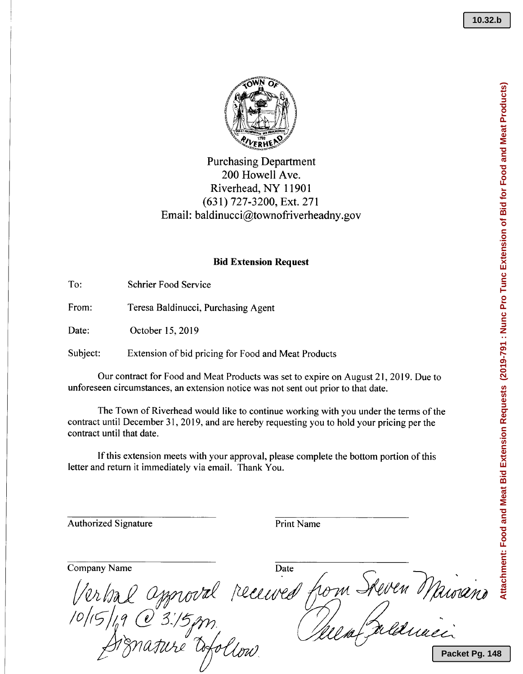

# Purchasing Department 200 Howell Ave. Riverhead, NY 11901 (631) 727-3200, Ext. 271 Email: baldinucci@townofriverheadny.gov

### **Bid Extension Request**

To: Schrier Food Service

From: Teresa Baldinucci, Purchasing Agent

Date: October 15, 2019

Subject: Extension of bid pricing for Food and Meat Products

Our contract for Food and Meat Products was set to expire on August 21,2019. Due to unforeseen circumstances, an extension notice was not sent out prior to that date.

The Town of Riverhead would like to continue working with you under the terms of the contract until December 31,2019, and are hereby requesting you to hold your pricing per the contract until that date.

If this extension meets with your approval, please complete the bottom portion of this letter and return it immediately via email. Thank You.

Authorized Signature **Print Name** 

Company Name Date hom Steven Maisiano oval received Packet Pq. 148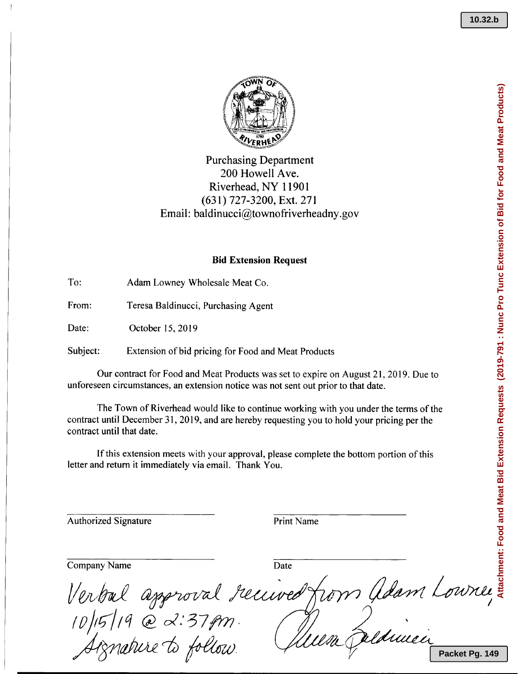

## Purchasing Departmer 200 Howell Ave. Riverhead, NY 11901 (631) 727-3200, Ext. 271 Email: baldinucci@townofriverheadny.goversing

### **Bid Extension Reques**

To: Adam Lowney Wholesale Meat Co.

From: Teresa Baldinucci, Purchasing Agent

Date: October 15, 2019

Subject: Extension of bid pricing for Food and Meat Products

Our contract for Food and Meat Products was set to expire on August 21, 2019. Due to unforeseen circumstances, an extension notice was not sent out prior to that date.

The Town of Riverhead would like to continue working with you under the terms of the contract until December 31, 2019, and are hereby requesting you to hold your pricing per the contract until that date.

If this extension meets with your approval, please complete the bottom portion of this letter and return it immediately via email. Thank You.

Authorized Signature **Print Name** 

Company Name Date